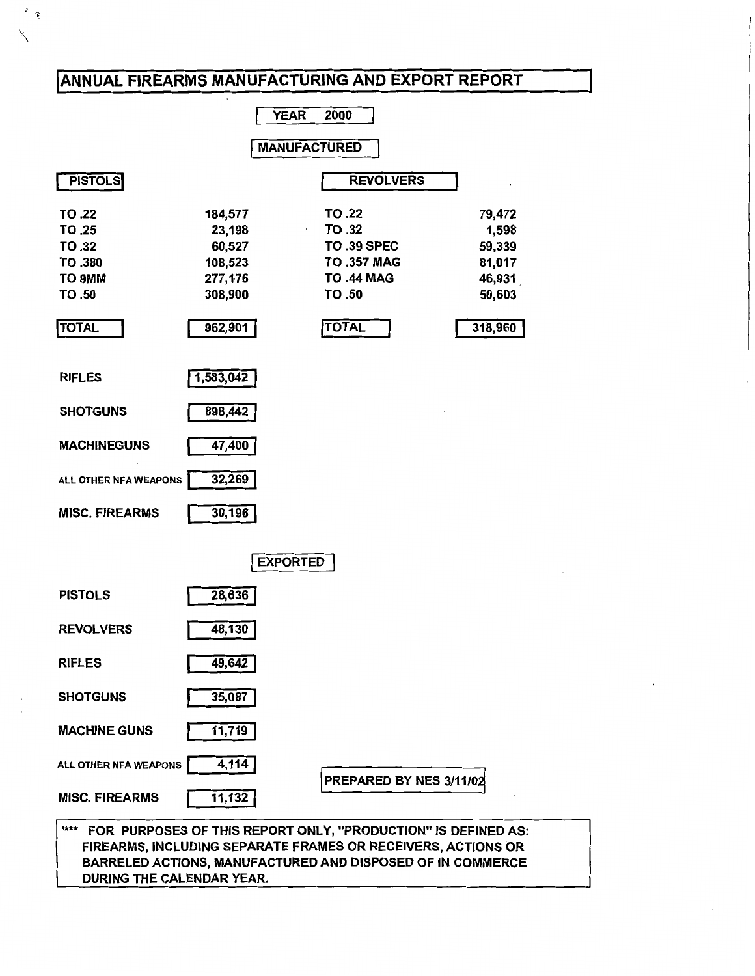# ANNUAL FIREARMS MANUFACTURING AND EXPORT REPORT

 $\ddot{\epsilon}$ 

|                                                                                 |                                                                         | <b>YEAR</b>         | 2000                                                                                                        |                                                                    |
|---------------------------------------------------------------------------------|-------------------------------------------------------------------------|---------------------|-------------------------------------------------------------------------------------------------------------|--------------------------------------------------------------------|
|                                                                                 |                                                                         | <b>MANUFACTURED</b> |                                                                                                             |                                                                    |
| <b>PISTOLS</b>                                                                  |                                                                         |                     | <b>REVOLVERS</b>                                                                                            |                                                                    |
| TO .22<br><b>TO .25</b><br>TO.32<br>TO .380<br>TO 9MM<br>TO .50<br><b>TOTAL</b> | 184,577<br>23,198<br>60,527<br>108,523<br>277,176<br>308,900<br>962,901 |                     | TO .22<br>TO .32<br><b>TO .39 SPEC</b><br><b>TO .357 MAG</b><br><b>TO .44 MAG</b><br>TO .50<br><b>TOTAL</b> | 79,472<br>1,598<br>59,339<br>81,017<br>46,931<br>50,603<br>318,960 |
| <b>RIFLES</b>                                                                   | 1,583,042                                                               |                     |                                                                                                             |                                                                    |
| <b>SHOTGUNS</b>                                                                 | 898,442                                                                 |                     |                                                                                                             |                                                                    |
| <b>MACHINEGUNS</b>                                                              | 47,400                                                                  |                     |                                                                                                             |                                                                    |
| ALL OTHER NFA WEAPONS                                                           | 32,269                                                                  |                     |                                                                                                             |                                                                    |
| <b>MISC. FIREARMS</b>                                                           | 30,196                                                                  |                     |                                                                                                             |                                                                    |
|                                                                                 |                                                                         | <b>EXPORTED</b>     |                                                                                                             |                                                                    |
| <b>PISTOLS</b>                                                                  | 28,636                                                                  |                     |                                                                                                             |                                                                    |
| <b>REVOLVERS</b>                                                                | 48,130                                                                  |                     |                                                                                                             |                                                                    |
| <b>RIFLES</b>                                                                   | 49,642                                                                  |                     |                                                                                                             |                                                                    |
| <b>SHOTGUNS</b>                                                                 | 35,087                                                                  |                     |                                                                                                             |                                                                    |
| <b>MACHINE GUNS</b>                                                             | 11,719                                                                  |                     |                                                                                                             |                                                                    |
| ALL OTHER NFA WEAPONS                                                           | 4,114                                                                   |                     | PREPARED BY NES 3/11/02                                                                                     |                                                                    |
| <b>MISC. FIREARMS</b>                                                           | 11,132                                                                  |                     |                                                                                                             |                                                                    |
| <b>Tirk's</b><br>FOR PURPOSES OF THIS REPORT ONLY, "PRODUCTION" IS DEFINED AS:  |                                                                         |                     |                                                                                                             |                                                                    |

FIREARMS, INCLUDING SEPARATE FRAMES OR RECEIVERS, ACTIONS OR BARRELED ACTIONS, MANUFACTURED AND DISPOSED OF IN COMMERCE DURING THE CALENDAR YEAR.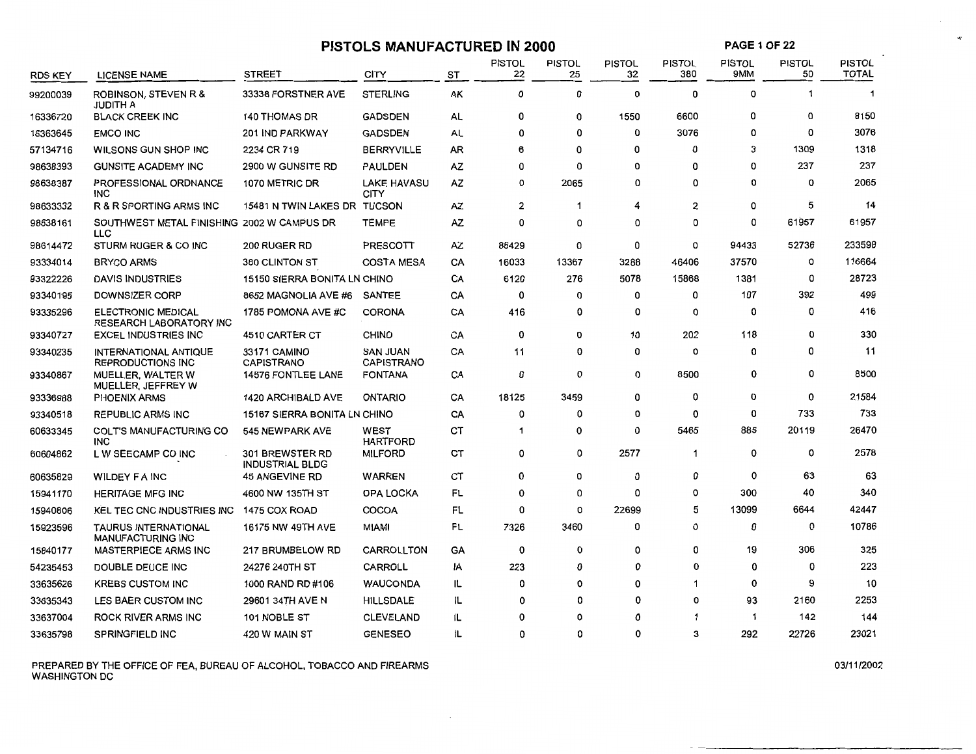| <b>PAGE 1 OF 22</b><br><b>PISTOLS MANUFACTURED IN 2000</b> |                                                          |                                                  |                                      |    |                     |                     |                     |                      |                      |                     |                               |
|------------------------------------------------------------|----------------------------------------------------------|--------------------------------------------------|--------------------------------------|----|---------------------|---------------------|---------------------|----------------------|----------------------|---------------------|-------------------------------|
| RDS KEY                                                    | <b>LICENSE NAME</b>                                      | <b>STREET</b>                                    | <b>CITY</b>                          | ST | <b>PISTOL</b><br>22 | <b>PISTOL</b><br>25 | <b>PISTOL</b><br>32 | <b>PISTOL</b><br>380 | <b>PISTOL</b><br>9MM | <b>PISTOL</b><br>50 | <b>PISTOL</b><br><b>TOTAL</b> |
| 99200039                                                   | <b>ROBINSON, STEVEN R &amp;</b><br>JUDITH A              | 33338 FORSTNER AVE                               | <b>STERLING</b>                      | AK | 0                   | 0                   | 0                   | 0                    | $\Omega$             | $\mathbf{1}$        | $\mathbf{1}$                  |
| 16336720                                                   | <b>BLACK CREEK INC</b>                                   | <b>140 THOMAS DR</b>                             | <b>GADSDEN</b>                       | AL | 0                   | 0                   | 1550                | 6600                 | 0                    | 0                   | 8150                          |
| 16363645                                                   | <b>EMCO INC</b>                                          | 201 IND PARKWAY                                  | <b>GADSDEN</b>                       | AL | o                   | 0                   | 0                   | 3076                 | 0                    | 0                   | 3076                          |
| 57134716                                                   | WILSONS GUN SHOP INC                                     | 2234 CR 719                                      | <b>BERRYVILLE</b>                    | AR | 6                   | 0                   | 0                   | 0                    | 3                    | 1309                | 1318                          |
| 98638393                                                   | <b>GUNSITE ACADEMY INC</b>                               | 2900 W GUNSITE RD                                | <b>PAULDEN</b>                       | AZ | 0                   | 0                   | 0                   | 0                    | 0                    | 237                 | 237                           |
| 98638387                                                   | <b>PROFESSIONAL ORDNANCE</b><br><b>INC</b>               | 1070 METRIC DR                                   | <b>LAKE HAVASU</b><br>CITY           | AZ | 0                   | 2065                | 0                   | 0                    | $\Omega$             | 0                   | 2065                          |
| 98633332                                                   | R & R SPORTING ARMS INC                                  | 15481 N TWIN LAKES DR TUCSON                     |                                      | AZ | 2                   | 1                   | 4                   | 2                    | $\mathbf 0$          | 5                   | 14                            |
| 98638161                                                   | SOUTHWEST METAL FINISHING 2002 W CAMPUS DR<br>LLC        |                                                  | <b>TEMPE</b>                         | AZ | 0                   | 0                   | 0                   | 0                    | 0                    | 61957               | 61957                         |
| 98614472                                                   | STURM RUGER & CO INC                                     | 200 RUGER RD                                     | PRESCOTT                             | AZ | 86429               | 0                   | 0                   | 0                    | 94433                | 52736               | 233598                        |
| 93334014                                                   | <b>BRYCO ARMS</b>                                        | 380 CLINTON ST                                   | <b>COSTA MESA</b>                    | CA | 16033               | 13367               | 3288                | 46406                | 37570                | 0                   | 116664                        |
| 93322226                                                   | <b>DAVIS INDUSTRIES</b>                                  | 15150 SIERRA BONITA LN CHINO                     |                                      | CA | 6120                | 276                 | 5078                | 15868                | 1381                 | 0                   | 28723                         |
| 93340195                                                   | DOWNSIZER CORP                                           | 8652 MAGNOLIA AVE #6                             | SANTEE                               | CA | 0                   | 0                   | 0                   | 0                    | 107                  | 392                 | 499                           |
| 93335296                                                   | <b>ELECTRONIC MEDICAL</b><br>RESEARCH LABORATORY INC     | 1785 POMONA AVE #C                               | <b>CORONA</b>                        | CA | 416                 | 0                   | 0                   | 0                    | 0                    | 0                   | 416                           |
| 93340727                                                   | <b>EXCEL INDUSTRIES INC</b>                              | 4510 CARTER CT                                   | <b>CHINO</b>                         | CA | 0                   | 0                   | 10                  | 202                  | 118                  | 0                   | 330                           |
| 93340235                                                   | <b>INTERNATIONAL ANTIQUE</b><br><b>REPRODUCTIONS INC</b> | 33171 CAMINO<br>CAPISTRANO                       | <b>SAN JUAN</b><br><b>CAPISTRANO</b> | CA | 11                  | 0                   | 0                   | 0                    | 0                    | 0                   | 11                            |
| 93340867                                                   | MUELLER, WALTER W<br>MUELLER, JEFFREY W                  | <b>14576 FONTLEE LANE</b>                        | <b>FONTANA</b>                       | CA | 0                   | 0                   | 0                   | 8500                 | 0                    | 0                   | 8500                          |
| 93336988                                                   | <b>PHOENIX ARMS</b>                                      | <b>1420 ARCHIBALD AVE</b>                        | <b>ONTARIO</b>                       | CA | 18125               | 3459                | 0                   | 0                    | 0                    | 0                   | 21584                         |
| 93340518                                                   | <b>REPUBLIC ARMS INC</b>                                 | <b>15167 SIERRA BONITA LN CHINO</b>              |                                      | CA | 0                   | 0                   | 0                   | 0                    | 0                    | 733                 | 733                           |
| 60633345                                                   | <b>COLT'S MANUFACTURING CO</b><br><b>INC</b>             | 545 NEWPARK AVE                                  | WEST<br><b>HARTFORD</b>              | CT | 1                   | 0                   | 0                   | 5465                 | 885                  | 20119               | 26470                         |
| 60604862                                                   | L W SEECAMP CO INC                                       | <b>301 BREWSTER RD</b><br><b>INDUSTRIAL BLDG</b> | <b>MILFORD</b>                       | ст | 0                   | 0                   | 2577                | 1                    | 0                    | 0                   | 2578                          |
| 60635829                                                   | <b>WILDEY FAINC</b>                                      | <b>45 ANGEVINE RD</b>                            | WARREN                               | СT | 0                   | 0                   | 0                   | 0                    | 0                    | 63                  | 63                            |
| 15941170                                                   | <b>HERITAGE MFG INC</b>                                  | 4600 NW 135TH ST                                 | OPA LOCKA                            | FL | 0                   | 0                   | 0                   | 0                    | 300                  | 40                  | 340                           |
| 15940806                                                   | KEL TEC CNC INDUSTRIES INC                               | 1475 COX ROAD                                    | <b>COCOA</b>                         | FL | 0                   | 0                   | 22699               | 5                    | 13099                | 6644                | 42447                         |
| 15923596                                                   | <b>TAURUS INTERNATIONAL</b><br><b>MANUFACTURING INC</b>  | <b>16175 NW 49TH AVE</b>                         | MIAMI                                | FL | 7326                | 3460                | 0                   | 0                    | 0                    | 0                   | 10786                         |
| 15840177                                                   | MASTERPIECE ARMS INC                                     | 217 BRUMBELOW RD                                 | CARROLLTON                           | GA | $\mathbf 0$         | 0                   | 0                   | 0                    | 19                   | 306                 | 325                           |
| 54235453                                                   | DOUBLE DEUCE INC                                         | 24276 240TH ST                                   | <b>CARROLL</b>                       | ١A | 223                 | 0                   | $\mathbf 0$         | $\mathbf 0$          | 0                    | 0                   | 223                           |
| 33635626                                                   | <b>KREBS CUSTOM INC</b>                                  | 1000 RAND RD #106                                | <b>WAUCONDA</b>                      | IL | 0                   | 0                   | $\mathbf 0$         | -1                   | 0                    | 9                   | 10                            |
| 33635343                                                   | LES BAER CUSTOM INC                                      | 29601 34TH AVE N                                 | <b>HILLSDALE</b>                     | IL | 0                   | 0                   | $\Omega$            | $\Omega$             | 93                   | 2160                | 2253                          |
| 33637004                                                   | <b>ROCK RIVER ARMS INC</b>                               | 101 NOBLE ST                                     | <b>CLEVELAND</b>                     | 11 | $\Omega$            | 0                   | $\Omega$            | -1                   | 1                    | 142                 | 144                           |
| 33635798                                                   | SPRINGFIELD INC                                          | 420 W MAIN ST                                    | <b>GENESEO</b>                       | IL | $\mathbf 0$         | 0                   | $\Omega$            | 3                    | 292                  | 22726               | 23021                         |

PREPARED BY THE OFFICE OF FEA, BUREAU OF ALCOHOL, TOBACCO AND FIREARMS WASHINGTON DC

03/11/2002

رب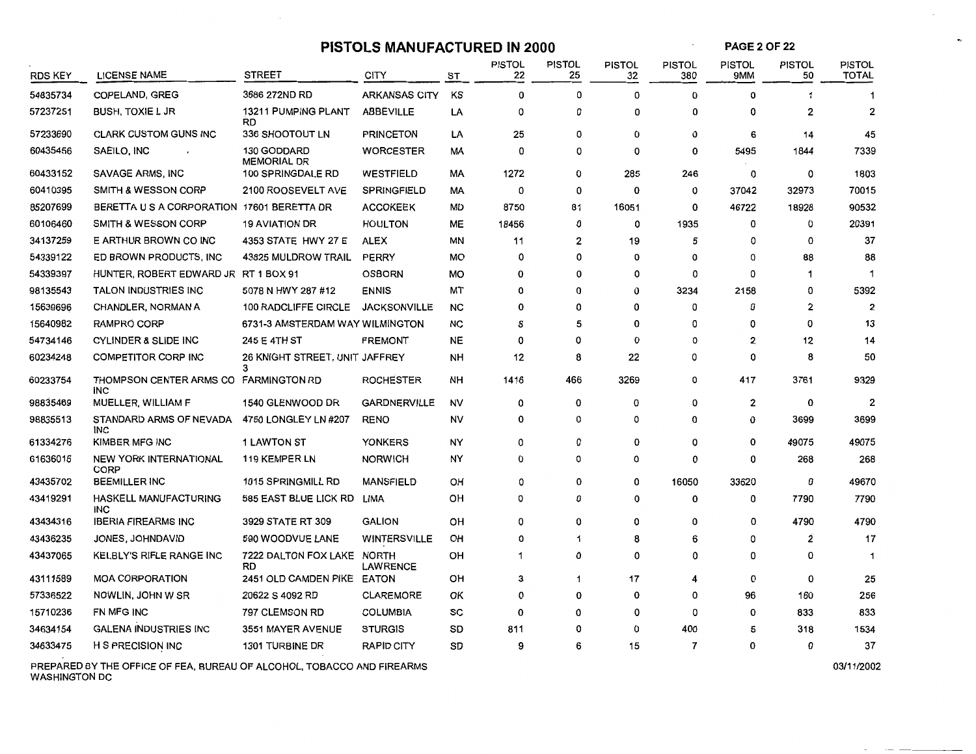# **PISTOLS MANUFACTURED IN 2000**

 $\sim$ 

**PAGE2 OF22** 

 $\sim$ 

 $\bullet_{2}$ 

| <b>RDS KEY</b> | <b>LICENSE NAME</b>                        | <b>STREET</b>                              | <b>CITY</b>          | ST        | <b>PISTOL</b><br>22 | <b>PISTOL</b><br>25 | <b>PISTOL</b><br>32 | <b>PISTOL</b><br>380 | <b>PISTOL</b><br><b>9MM</b> | <b>PISTOL</b><br>50 | <b>PISTOL</b><br><b>TOTAL</b> |
|----------------|--------------------------------------------|--------------------------------------------|----------------------|-----------|---------------------|---------------------|---------------------|----------------------|-----------------------------|---------------------|-------------------------------|
| 54835734       | <b>COPELAND, GREG</b>                      | 3686 272ND RD                              | <b>ARKANSAS CITY</b> | ΚS        | 0                   | 0                   | 0                   | $\mathbf 0$          | 0                           | 1                   |                               |
| 57237251       | <b>BUSH, TOXIE L JR</b>                    | 13211 PUMPING PLANT<br><b>RD</b>           | <b>ABBEVILLE</b>     | LA        | 0                   | 0                   | 0                   | 0                    | 0                           | $\overline{2}$      | $\overline{2}$                |
| 57233690       | <b>CLARK CUSTOM GUNS INC</b>               | 336 SHOOTOUT LN                            | <b>PRINCETON</b>     | LA        | 25                  | 0                   | 0                   | 0                    | 6                           | 14                  | 45                            |
| 60435456       | SAEILO, INC                                | <b>130 GODDARD</b><br><b>MEMORIAL DR</b>   | <b>WORCESTER</b>     | МA        | 0                   | 0                   | 0                   | 0                    | 5495                        | 1844                | 7339                          |
| 60433152       | SAVAGE ARMS, INC                           | 100 SPRINGDALE RD                          | <b>WESTFIELD</b>     | МA        | 1272                | 0                   | 285                 | 246                  | 0                           | 0                   | 1803                          |
| 60410395       | SMITH & WESSON CORP                        | 2100 ROOSEVELT AVE                         | <b>SPRINGFIELD</b>   | МA        | 0                   | 0                   | 0                   | 0                    | 37042                       | 32973               | 70015                         |
| 85207699       | BERETTA U S A CORPORATION 17601 BERETTA DR |                                            | <b>ACCOKEEK</b>      | MD        | 8750                | 81                  | 16051               | 0                    | 46722                       | 18928               | 90532                         |
| 60106460       | <b>SMITH &amp; WESSON CORP</b>             | <b>19 AVIATION DR</b>                      | <b>HOULTON</b>       | ME        | 18456               | 0                   | 0                   | 1935                 | 0                           | 0                   | 20391                         |
| 34137259       | E ARTHUR BROWN CO INC                      | 4353 STATE HWY 27 E                        | ALEX                 | MN        | 11                  | 2                   | 19                  | 5                    | O                           | 0                   | 37                            |
| 54339122       | ED BROWN PRODUCTS, INC                     | 43825 MULDROW TRAIL                        | <b>PERRY</b>         | MO        | 0                   | 0                   | 0                   | 0                    | $\mathbf 0$                 | 88                  | 88                            |
| 54339397       | HUNTER, ROBERT EDWARD JR RT 1 BOX 91       |                                            | <b>OSBORN</b>        | MO        | 0                   | 0                   | 0                   | 0                    | 0                           | -1                  |                               |
| 98135543       | TALON INDUSTRIES INC                       | 5078 N HWY 287 #12                         | <b>ENNIS</b>         | MT        | 0                   | 0                   | 0                   | 3234                 | 2158                        | 0                   | 5392                          |
| 15639696       | CHANDLER, NORMAN A                         | 100 RADCLIFFE CIRCLE                       | <b>JACKSONVILLE</b>  | NC        | 0                   | 0                   | 0                   | 0                    | $\Omega$                    | 2                   | $\overline{2}$                |
| 15640982       | RAMPRO CORP                                | 6731-3 AMSTERDAM WAY WILMINGTON            |                      | NC        | 8                   | 5                   | 0                   | 0                    | $\Omega$                    | 0                   | 13                            |
| 54734146       | <b>CYLINDER &amp; SLIDE INC</b>            | 245 E 4TH ST                               | <b>FREMONT</b>       | <b>NE</b> | 0                   | 0                   | 0                   | 0                    | $\overline{2}$              | 12                  | 14                            |
| 60234248       | <b>COMPETITOR CORP INC</b>                 | <b>26 KNIGHT STREET, UNIT JAFFREY</b><br>3 |                      | NΗ        | 12                  | 8                   | 22                  | 0                    | 0                           | 8                   | 50                            |
| 60233754       | THOMPSON CENTER ARMS CO<br>INC.            | <b>FARMINGTON RD</b>                       | <b>ROCHESTER</b>     | NΗ        | 1416                | 466                 | 3269                | 0                    | 417                         | 3761                | 9329                          |
| 98835469       | MUELLER, WILLIAM F                         | <b>1540 GLENWOOD DR</b>                    | <b>GARDNERVILLE</b>  | NV        | 0                   | 0                   | 0                   | 0                    | $\overline{\mathbf{c}}$     | 0                   | $\overline{2}$                |
| 98835513       | STANDARD ARMS OF NEVADA<br>INC             | 4750 LONGLEY LN #207                       | <b>RENO</b>          | NV        | 0                   | 0                   | 0                   | 0                    | 0                           | 3699                | 3699                          |
| 61334276       | KIMBER MFG INC                             | <b>1 LAWTON ST</b>                         | YONKERS              | NΥ        | 0                   | 0                   | 0                   | 0                    | $\Omega$                    | 49075               | 49075                         |
| 61636016       | <b>NEW YORK INTERNATIONAL</b><br>CORP      | 119 KEMPER LN                              | <b>NORWICH</b>       | NY        | 0                   | 0                   | 0                   | 0                    | 0                           | 268                 | 268                           |
| 43435702       | <b>BEEMILLER INC</b>                       | 1015 SPRINGMILL RD                         | <b>MANSFIELD</b>     | OH        | 0                   | 0                   | 0                   | 16050                | 33620                       | 0                   | 49670                         |
| 43419291       | HASKELL MANUFACTURING<br>INC               | 585 EAST BLUE LICK RD                      | LIMA                 | он        | 0                   | 0                   | 0                   | 0                    | 0                           | 7790                | 7790                          |
| 43434316       | <b>IBERIA FIREARMS INC</b>                 | 3929 STATE RT 309                          | <b>GALION</b>        | OН        | 0                   | 0                   | 0                   | 0                    | 0                           | 4790                | 4790                          |
| 43436235       | JONES, JOHNDAVID                           | 590 WOODVUE LANE                           | <b>WINTERSVILLE</b>  | OH        | 0                   | 1                   | 8                   | 6                    | 0                           | 2                   | 17                            |
| 43437065       | <b>KELBLY'S RIFLE RANGE INC</b>            | 7222 DALTON FOX LAKE NORTH<br>RD           | <b>LAWRENCE</b>      | OН        | 1                   | 0                   | 0                   | $\Omega$             | $\Omega$                    | $\Omega$            | 1                             |
| 43111589       | <b>MOA CORPORATION</b>                     | 2451 OLD CAMDEN PIKE EATON                 |                      | OH        | 3                   | 1                   | 17                  | 4                    | $\mathbf 0$                 | 0                   | 25                            |
| 57336522       | NOWLIN, JOHN W SR                          | 20622 S 4092 RD                            | <b>CLAREMORE</b>     | ОΚ        | $\Omega$            | 0                   | 0                   | 0                    | 96                          | 160                 | 256                           |
| 15710236       | FN MFG INC                                 | 797 CLEMSON RD                             | <b>COLUMBIA</b>      | SC        | $\Omega$            | 0                   | 0                   | 0                    | 0                           | 833                 | 833                           |
| 34634154       | <b>GALENA INDUSTRIES INC</b>               | 3551 MAYER AVENUE                          | <b>STURGIS</b>       | SD        | 811                 | 0                   | 0                   | 400                  | 5                           | 318                 | 1534                          |
| 34633475       | <b>H S PRECISION INC</b>                   | 1301 TURBINE DR                            | <b>RAPID CITY</b>    | SD        | 9                   | 6                   | 15                  | 7                    | 0                           | 0                   | 37                            |
|                |                                            |                                            |                      |           |                     |                     |                     |                      |                             |                     |                               |

PREPARED BY THE OFFICE OF FEA, BUREAU OF ALCOHOL, TOBACCO AND FIREARMS WASHINGTON DC

03/11/2002

 $\cdots$  .  $\cdots$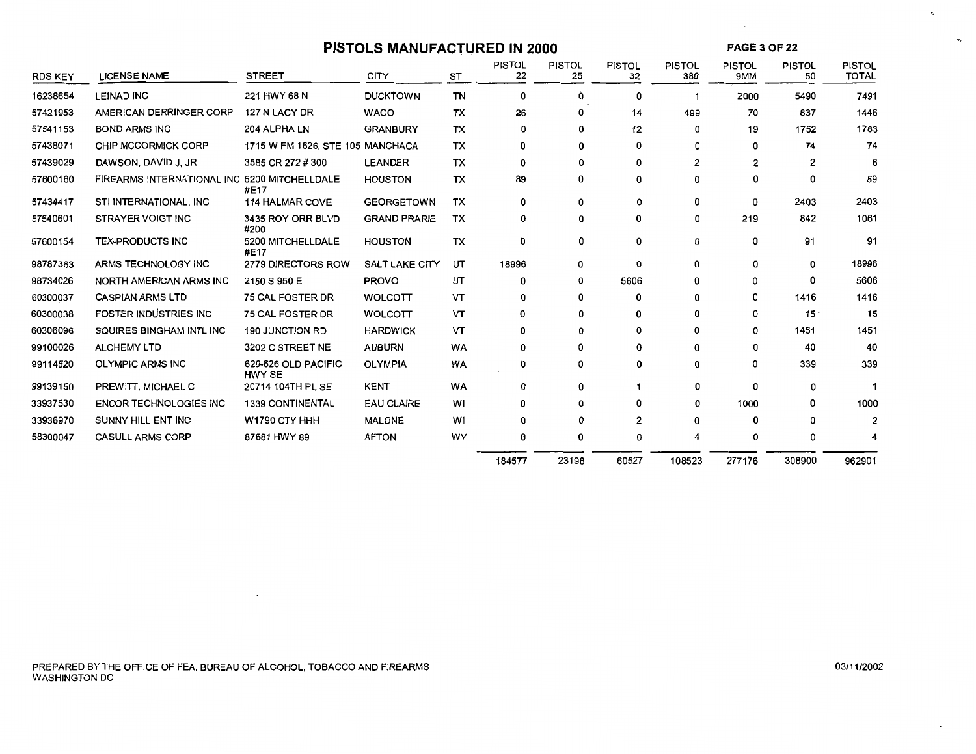# **PISTOLS MANUFACTURED IN 2000**

**PAGE** 3 OF 22

 $\sim$ 

 $\cdot$ 

 $\mathbf{v}_I$ 

| <b>RDS KEY</b> | <b>LICENSE NAME</b>                          | <b>STREET</b>                    | <b>CITY</b>           | ST        | <b>PISTOL</b><br>22 | <b>PISTOL</b><br>25 | <b>PISTOL</b><br>32 | <b>PISTOL</b><br>380 | <b>PISTOL</b><br>9MM | <b>PISTOL</b><br>50 | <b>PISTOL</b><br><b>TOTAL</b> |
|----------------|----------------------------------------------|----------------------------------|-----------------------|-----------|---------------------|---------------------|---------------------|----------------------|----------------------|---------------------|-------------------------------|
| 16238654       | <b>LEINAD INC</b>                            | 221 HWY 68 N                     | <b>DUCKTOWN</b>       | <b>TN</b> | 0                   | 0                   | 0                   |                      | 2000                 | 5490                | 7491                          |
| 57421953       | AMERICAN DERRINGER CORP                      | 127 N LACY DR                    | <b>WACO</b>           | TX        | 26                  | 0                   | 14                  | 499                  | 70                   | 837                 | 1446                          |
| 57541153       | <b>BOND ARMS INC</b>                         | 204 ALPHA LN                     | <b>GRANBURY</b>       | <b>TX</b> | 0                   | 0                   | 12                  | 0                    | 19                   | 1752                | 1783                          |
| 57438071       | CHIP MCCORMICK CORP                          | 1715 W FM 1626, STE 105 MANCHACA |                       | TX        | 0                   | 0                   | 0                   | 0                    | 0                    | 74                  | 74                            |
| 57439029       | DAWSON, DAVID J, JR                          | 3585 CR 272 # 300                | <b>LEANDER</b>        | <b>TX</b> | 0                   | 0                   | 0                   | 2                    | 2                    | 2                   | 6                             |
| 57600160       | FIREARMS INTERNATIONAL INC 5200 MITCHELLDALE | #E17                             | <b>HOUSTON</b>        | <b>TX</b> | 89                  | 0                   | 0                   | 0                    | 0                    | 0                   | 89                            |
| 57434417       | STI INTERNATIONAL, INC                       | <b>114 HALMAR COVE</b>           | <b>GEORGETOWN</b>     | TX        | Ò                   | 0                   | 0                   | 0                    | 0                    | 2403                | 2403                          |
| 57540601       | STRAYER VOIGT INC                            | 3435 ROY ORR BLVD<br>#200        | <b>GRAND PRARIE</b>   | тх        | 0                   | 0                   | 0                   | 0                    | 219                  | 842                 | 1061                          |
| 57600154       | <b>TEX-PRODUCTS INC</b>                      | 5200 MITCHELLDALE<br>#E17        | <b>HOUSTON</b>        | TX        | 0                   | 0                   | 0                   | 0                    | 0                    | 91                  | 91                            |
| 98787363       | ARMS TECHNOLOGY INC                          | 2779 DIRECTORS ROW               | <b>SALT LAKE CITY</b> | UT        | 18996               | 0                   | 0                   | 0                    | 0                    | 0                   | 18996                         |
| 98734026       | <b>NORTH AMERICAN ARMS INC</b>               | 2150 S 950 E                     | <b>PROVO</b>          | UT        | 0                   | 0                   | 5606                | 0                    | 0                    | 0                   | 5606                          |
| 60300037       | <b>CASPIAN ARMS LTD</b>                      | <b>75 CAL FOSTER DR</b>          | <b>WOLCOTT</b>        | VT        | 0                   | 0                   | n                   | 0                    | O                    | 1416                | 1416                          |
| 60300038       | <b>FOSTER INDUSTRIES INC</b>                 | 75 CAL FOSTER DR                 | <b>WOLCOTT</b>        | VT        | 0                   | 0                   | 0                   | 0                    | 0                    | 15 <sup>1</sup>     | 15                            |
| 60306096       | SQUIRES BINGHAM INTL INC                     | <b>190 JUNCTION RD</b>           | <b>HARDWICK</b>       | VT        | 0                   | 0                   | $\Omega$            | 0                    | O                    | 1451                | 1451                          |
| 99100026       | <b>ALCHEMY LTD</b>                           | 3202 C STREET NE                 | <b>AUBURN</b>         | <b>WA</b> | 0                   | 0                   | 0                   | 0                    | 0                    | 40                  | 40                            |
| 99114520       | <b>OLYMPIC ARMS INC</b>                      | 620-626 OLD PACIFIC<br>HWY SE    | <b>OLYMPIA</b>        | <b>WA</b> | 0                   | 0                   | 0                   | 0                    | 0                    | 339                 | 339                           |
| 99139150       | PREWITT, MICHAEL C                           | 20714 104TH PL SE                | <b>KENT</b>           | WA        | 0                   | 0                   |                     | 0                    | 0                    | 0                   |                               |
| 33937530       | <b>ENCOR TECHNOLOGIES INC</b>                | <b>1339 CONTINENTAL</b>          | <b>EAU CLAIRE</b>     | WI        | 0                   | 0                   | n                   | 0                    | 1000                 | 0                   | 1000                          |
| 33936970       | SUNNY HILL ENT INC                           | W1790 CTY HHH                    | <b>MALONE</b>         | W1        | 0                   | 0                   | 2                   | 0                    | O                    |                     | $\overline{2}$                |
| 58300047       | <b>CASULL ARMS CORP</b>                      | 87681 HWY 89                     | <b>AFTON</b>          | WY        | 0                   | 0                   | 0                   |                      | 0                    | n                   |                               |
|                |                                              |                                  |                       |           | 184577              | 23198               | 60527               | 108523               | 277176               | 308900              | 962901                        |

PREPARED BY THE OFFICE OF FEA, BUREAU OF ALCOHOL, TOBACCO AND FIREARMS WASHINGTON DC

 $\overline{\phantom{a}}$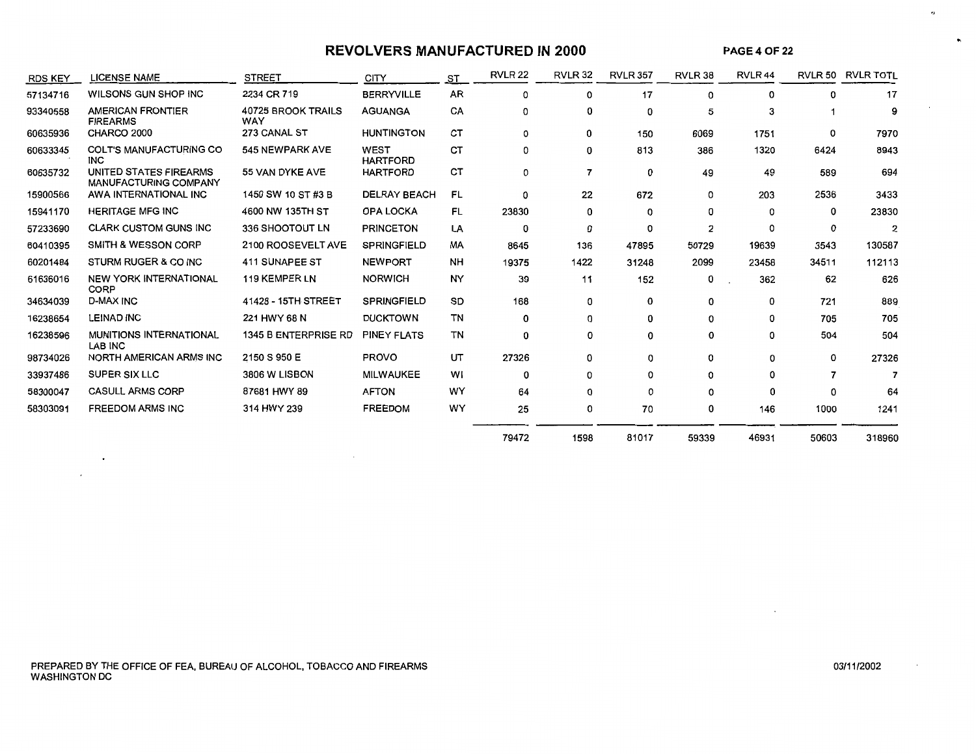# **REVOLVERS MANUFACTURED IN 2000**

**PAGE4** OF 22

 $\bullet$ 

 $\bullet_i$ 

| <b>RDS KEY</b> | <b>LICENSE NAME</b>                                    | <b>STREET</b>                    | <b>CITY</b>                    | ST        | <b>RVLR 22</b> | <b>RVLR 32</b> | <b>RVLR 357</b> | RVLR 38 | RVLR <sub>44</sub> |       | RVLR 50 RVLR TOTL |
|----------------|--------------------------------------------------------|----------------------------------|--------------------------------|-----------|----------------|----------------|-----------------|---------|--------------------|-------|-------------------|
| 57134716       | WILSONS GUN SHOP INC                                   | 2234 CR 719                      | <b>BERRYVILLE</b>              | <b>AR</b> | $\Omega$       | 0              | 17              | 0       | 0                  | 0     | 17                |
| 93340558       | <b>AMERICAN FRONTIER</b><br><b>FIREARMS</b>            | <b>40725 BROOK TRAILS</b><br>WAY | <b>AGUANGA</b>                 | CA        | 0              | 0              | 0               | 5       | 3                  |       | 9                 |
| 60635936       | CHARCO 2000                                            | 273 CANAL ST                     | <b>HUNTINGTON</b>              | <b>CT</b> | 0              | 0              | 150             | 6069    | 1751               | 0     | 7970              |
| 60633345       | <b>COLT'S MANUFACTURING CO</b><br><b>INC</b>           | 545 NEWPARK AVE                  | <b>WEST</b><br><b>HARTFORD</b> | СT        | 0              | 0              | 813             | 386     | 1320               | 6424  | 8943              |
| 60635732       | UNITED STATES FIREARMS<br><b>MANUFACTURING COMPANY</b> | 55 VAN DYKE AVE                  | <b>HARTFORD</b>                | <b>CT</b> | 0              | 7              | 0               | 49      | 49                 | 589   | 694               |
| 15900566       | AWA INTERNATIONAL INC                                  | 1450 SW 10 ST #3 B               | <b>DELRAY BEACH</b>            | <b>FL</b> | 0              | 22             | 672             | 0       | 203                | 2536  | 3433              |
| 15941170       | <b>HERITAGE MFG INC</b>                                | 4600 NW 135TH ST                 | <b>OPA LOCKA</b>               | FL        | 23830          | 0              | 0               | 0       | O                  | 0     | 23830             |
| 57233690       | <b>CLARK CUSTOM GUNS INC</b>                           | 336 SHOOTOUT LN                  | <b>PRINCETON</b>               | LA        | 0              | 0              | 0               | 2       | $\Omega$           | 0     | $\overline{2}$    |
| 60410395       | <b>SMITH &amp; WESSON CORP</b>                         | 2100 ROOSEVELT AVE               | <b>SPRINGFIELD</b>             | MA        | 8645           | 136            | 47895           | 50729   | 19639              | 3543  | 130587            |
| 60201484       | STURM RUGER & CO INC                                   | 411 SUNAPEE ST                   | <b>NEWPORT</b>                 | <b>NH</b> | 19375          | 1422           | 31248           | 2099    | 23458              | 34511 | 112113            |
| 61636016       | <b>NEW YORK INTERNATIONAL</b><br>CORP                  | <b>119 KEMPER LN</b>             | <b>NORWICH</b>                 | NY        | 39             | 11             | 152             | 0       | 362                | 62    | 626               |
| 34634039       | <b>D-MAX INC</b>                                       | 41428 - 15TH STREET              | <b>SPRINGFIELD</b>             | SD        | 168            | 0              | 0               | 0       | 0                  | 721   | 889               |
| 16238654       | <b>LEINAD INC</b>                                      | 221 HWY 68 N                     | <b>DUCKTOWN</b>                | TN        | 0              | 0              | 0               | 0       | 0                  | 705   | 705               |
| 16238596       | <b>MUNITIONS INTERNATIONAL</b><br>LAB INC              | 1345 B ENTERPRISE RD             | <b>PINEY FLATS</b>             | TN        | 0              | 0              | 0               | 0       | 0                  | 504   | 504               |
| 98734026       | <b>NORTH AMERICAN ARMS INC</b>                         | 2150 S 950 E                     | <b>PROVO</b>                   | UT        | 27326          | 0              | 0               | 0       | $\Omega$           | 0     | 27326             |
| 33937486       | SUPER SIX LLC                                          | 3806 W LISBON                    | <b>MILWAUKEE</b>               | WI        | 0              | 0              | 0               | 0       | Ω                  |       |                   |
| 58300047       | <b>CASULL ARMS CORP</b>                                | 87681 HWY 89                     | <b>AFTON</b>                   | WY        | 64             | 0              | 0               | 0       | ŋ                  |       | 64                |
| 58303091       | <b>FREEDOM ARMS INC</b>                                | 314 HWY 239                      | <b>FREEDOM</b>                 | WY        | 25             | 0              | 70              | 0       | 146                | 1000  | 1241              |
|                |                                                        |                                  |                                |           | 79472          | 1598           | 81017           | 59339   | 46931              | 50603 | 318960            |

 $\langle \cdot \rangle$ 

 $\mathcal{L}$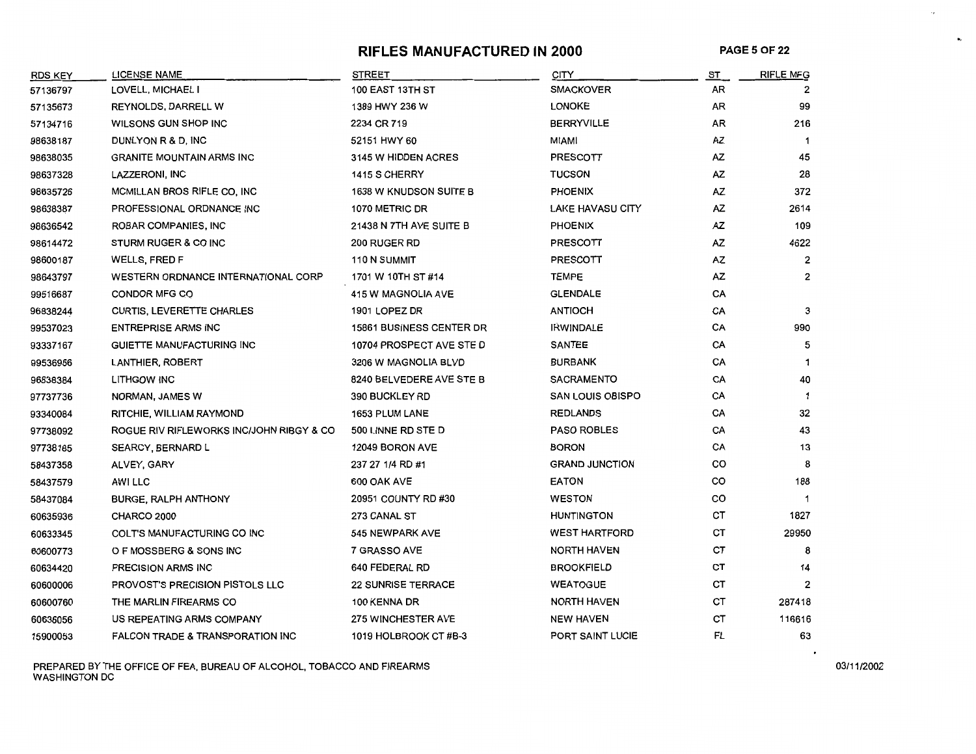# **RIFLES MANUFACTURED IN 2000 PAGE 5 OF 22**

 $\cdot$  ,

 $\bullet_{\rm c}$ 

| <b>RDS KEY</b> | <b>LICENSE NAME</b>                         | <b>STREET</b>                   | <b>CITY</b>             | ST        | <b>RIFLE MFG</b> |
|----------------|---------------------------------------------|---------------------------------|-------------------------|-----------|------------------|
| 57136797       | LOVELL, MICHAEL I                           | 100 EAST 13TH ST                | <b>SMACKOVER</b>        | AR        | 2                |
| 57135673       | <b>REYNOLDS, DARRELL W</b>                  | 1389 HWY 236 W                  | <b>LONOKE</b>           | AR        | 99               |
| 57134716       | WILSONS GUN SHOP INC                        | 2234 CR 719                     | <b>BERRYVILLE</b>       | AR        | 216              |
| 98638187       | DUNLYON R & D, INC                          | 52151 HWY 60                    | <b>MIAMI</b>            | AZ        | $\mathbf 1$      |
| 98638035       | <b>GRANITE MOUNTAIN ARMS INC</b>            | 3145 W HIDDEN ACRES             | PRESCOTT                | AZ        | 45               |
| 98637328       | LAZZERONI, INC                              | 1415 S CHERRY                   | <b>TUCSON</b>           | <b>AZ</b> | 28               |
| 98635726       | MCMILLAN BROS RIFLE CO, INC                 | <b>1638 W KNUDSON SUITE B</b>   | <b>PHOENIX</b>          | AZ        | 372              |
| 98638387       | PROFESSIONAL ORDNANCE INC                   | 1070 METRIC DR                  | <b>LAKE HAVASU CITY</b> | AZ        | 2614             |
| 98636542       | ROBAR COMPANIES, INC                        | 21438 N 7TH AVE SUITE B         | <b>PHOENIX</b>          | AZ        | 109              |
| 98614472       | STURM RUGER & CO INC                        | 200 RUGER RD                    | PRESCOTT                | AZ        | 4622             |
| 98600187       | WELLS, FRED F                               | 110 N SUMMIT                    | <b>PRESCOTT</b>         | AZ        | 2                |
| 98643797       | <b>WESTERN ORDNANCE INTERNATIONAL CORP</b>  | 1701 W 10TH ST #14              | <b>TEMPE</b>            | <b>AZ</b> | $\overline{c}$   |
| 99516687       | CONDOR MFG CO                               | 415 W MAGNOLIA AVE              | <b>GLENDALE</b>         | CA        |                  |
| 96838244       | <b>CURTIS, LEVERETTE CHARLES</b>            | 1901 LOPEZ DR                   | <b>ANTIOCH</b>          | CA        | 3                |
| 99537023       | <b>ENTREPRISE ARMS INC</b>                  | <b>15861 BUSINESS CENTER DR</b> | <b>IRWINDALE</b>        | CA        | 990              |
| 93337167       | GUIETTE MANUFACTURING INC                   | 10704 PROSPECT AVE STE D        | <b>SANTEE</b>           | CA        | 5                |
| 99536966       | <b>LANTHIER, ROBERT</b>                     | 3206 W MAGNOLIA BLVD            | <b>BURBANK</b>          | CA        | $\mathbf{1}$     |
| 96838384       | <b>LITHGOW INC</b>                          | 8240 BELVEDERE AVE STE B        | <b>SACRAMENTO</b>       | CA        | 40               |
| 97737736       | NORMAN, JAMES W                             | <b>390 BUCKLEY RD</b>           | <b>SAN LOUIS OBISPO</b> | CA        | -1               |
| 93340084       | RITCHIE, WILLIAM RAYMOND                    | <b>1653 PLUM LANE</b>           | <b>REDLANDS</b>         | CA        | 32               |
| 97738092       | ROGUE RIV RIFLEWORKS INC/JOHN RIBGY & CO    | 500 LINNE RD STE D              | <b>PASO ROBLES</b>      | CA        | 43               |
| 97738185       | <b>SEARCY, BERNARD L</b>                    | 12049 BORON AVE                 | <b>BORON</b>            | CA        | 13               |
| 58437358       | ALVEY, GARY                                 | 237 27 1/4 RD #1                | <b>GRAND JUNCTION</b>   | co        | 8                |
| 58437579       | <b>AWI LLC</b>                              | 600 OAK AVE                     | <b>EATON</b>            | co        | 188              |
| 58437084       | <b>BURGE, RALPH ANTHONY</b>                 | 20951 COUNTY RD #30             | <b>WESTON</b>           | co        | $\mathbf 1$      |
| 60635936       | CHARCO 2000                                 | <b>273 CANAL ST</b>             | <b>HUNTINGTON</b>       | CT        | 1827             |
| 60633345       | COLT'S MANUFACTURING CO INC                 | 545 NEWPARK AVE                 | <b>WEST HARTFORD</b>    | СT        | 29950            |
| 60600773       | O F MOSSBERG & SONS INC                     | 7 GRASSO AVE                    | <b>NORTH HAVEN</b>      | CT        | 8                |
| 60634420       | PRECISION ARMS INC                          | 640 FEDERAL RD                  | <b>BROOKFIELD</b>       | <b>CT</b> | 14               |
| 60600006       | <b>PROVOST'S PRECISION PISTOLS LLC</b>      | <b>22 SUNRISE TERRACE</b>       | <b>WEATOGUE</b>         | CT        | $\overline{2}$   |
| 60600760       | THE MARLIN FIREARMS CO                      | 100 KENNA DR                    | <b>NORTH HAVEN</b>      | СT        | 287418           |
| 60636056       | US REPEATING ARMS COMPANY                   | <b>275 WINCHESTER AVE</b>       | <b>NEW HAVEN</b>        | CT        | 116616           |
| 15900053       | <b>FALCON TRADE &amp; TRANSPORATION INC</b> | 1019 HOLBROOK CT#B-3            | PORT SAINT LUCIE        | FL        | 63               |

PREPARED BY THE OFFICE OF FEA, BUREAU OF ALCOHOL, TOBACCO AND FIREARMS ON A CONSTRUCTION ON A CONSTRUCTION ON A CONSTRUCTION ON A CONSTRUCTION ON A CONSTRUCTION ON A CONSTRUCTION ON A CONSTRUCTION ON A CONSTRUCTION ON A CO WASHINGTON DC

 $\bullet$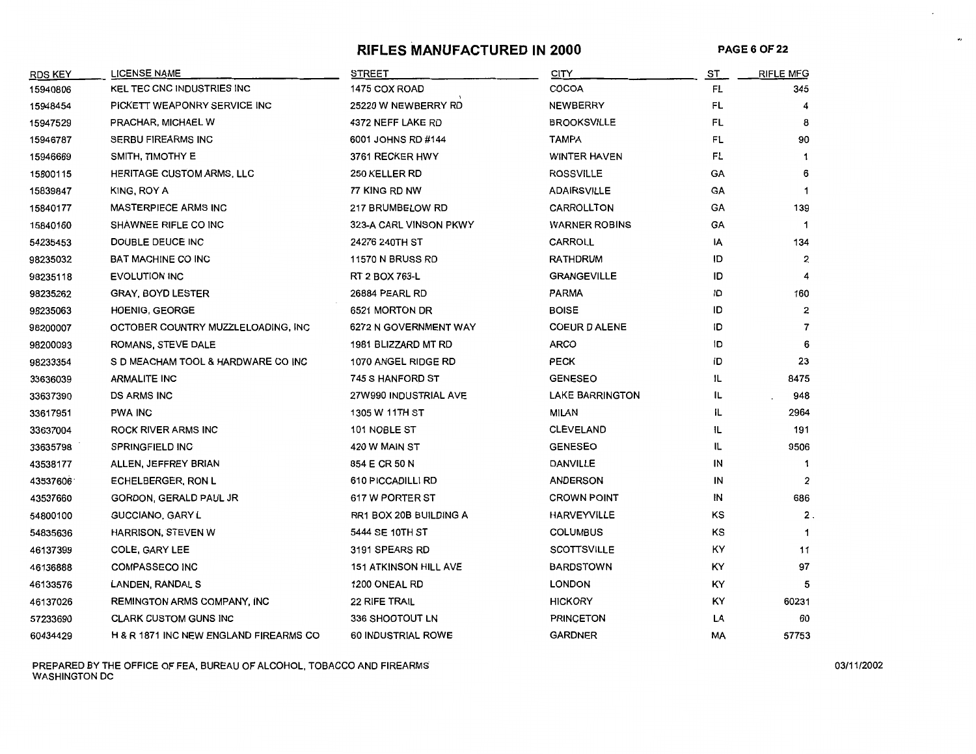## **RIFLES MANUFACTURED IN 2000 PAGE6 OF22**

 $\hat{\mathcal{L}}$ 

 $\cdot$ 

| <b>RDS KEY</b> | <b>LICENSE NAME</b>                    | <b>STREET</b>                | <b>CITY</b>            | <b>ST</b> | <b>RIFLE MFG</b> |
|----------------|----------------------------------------|------------------------------|------------------------|-----------|------------------|
| 15940806       | KEL TEC CNC INDUSTRIES INC             | 1475 COX ROAD                | COCOA                  | FL        | 345              |
| 15948454       | PICKETT WEAPONRY SERVICE INC           | 25220 W NEWBERRY RD          | <b>NEWBERRY</b>        | FL        | 4                |
| 15947529       | PRACHAR, MICHAEL W                     | 4372 NEFF LAKE RD            | <b>BROOKSVILLE</b>     | FL        | 8                |
| 15946787       | <b>SERBU FIREARMS INC</b>              | 6001 JOHNS RD #144           | TAMPA                  | FL        | 90               |
| 15946669       | SMITH, TIMOTHY E                       | 3761 RECKER HWY              | <b>WINTER HAVEN</b>    | FL        | 1                |
| 15800115       | <b>HERITAGE CUSTOM ARMS, LLC</b>       | 250 KELLER RD                | <b>ROSSVILLE</b>       | GA        | 6                |
| 15839847       | KING, ROY A                            | 77 KING RD NW                | <b>ADAIRSVILLE</b>     | GA        | $\mathbf{1}$     |
| 15840177       | <b>MASTERPIECE ARMS INC</b>            | 217 BRUMBELOW RD             | CARROLLTON             | GA        | 139              |
| 15840160       | SHAWNEE RIFLE CO INC                   | 323-A CARL VINSON PKWY       | <b>WARNER ROBINS</b>   | GA        | $\mathbf{1}$     |
| 54235453       | DOUBLE DEUCE INC                       | 24276 240TH ST               | <b>CARROLL</b>         | İΑ        | 134              |
| 98235032       | <b>BAT MACHINE CO INC</b>              | <b>11570 N BRUSS RD</b>      | RATHDRUM               | ID        | $\overline{2}$   |
| 98235118       | <b>EVOLUTION INC</b>                   | RT 2 BOX 763-L               | <b>GRANGEVILLE</b>     | ID        | 4                |
| 98235262       | <b>GRAY, BOYD LESTER</b>               | 26884 PEARL RD               | <b>PARMA</b>           | ID        | 160              |
| 98235063       | <b>HOENIG, GEORGE</b>                  | 6521 MORTON DR               | <b>BOISE</b>           | ID        | 2                |
| 98200007       | OCTOBER COUNTRY MUZZLELOADING, INC     | 6272 N GOVERNMENT WAY        | <b>COEUR D ALENE</b>   | ID        | $\overline{7}$   |
| 98200093       | ROMANS, STEVE DALE                     | 1981 BLIZZARD MT RD          | <b>ARCO</b>            | 1D        | 6                |
| 98233354       | S D MEACHAM TOOL & HARDWARE CO INC     | 1070 ANGEL RIDGE RD          | <b>PECK</b>            | ID        | 23               |
| 33636039       | <b>ARMALITE INC</b>                    | 745 S HANFORD ST             | <b>GENESEO</b>         | IL        | 8475             |
| 33637390       | <b>DS ARMS INC</b>                     | 27W990 INDUSTRIAL AVE        | <b>LAKE BARRINGTON</b> | IL        | 948              |
| 33617951       | <b>PWA INC</b>                         | 1305 W 11TH ST               | <b>MILAN</b>           | IL        | 2964             |
| 33637004       | <b>ROCK RIVER ARMS INC</b>             | 101 NOBLE ST                 | <b>CLEVELAND</b>       | ΙL        | 191              |
| 33635798       | <b>SPRINGFIELD INC</b>                 | 420 W MAIN ST                | <b>GENESEO</b>         | 11        | 9506             |
| 43538177       | ALLEN, JEFFREY BRIAN                   | 854 E CR 50 N                | <b>DANVILLE</b>        | IN        | -1               |
| 43537606       | <b>ECHELBERGER, RON L</b>              | 610 PICCADILLI RD            | <b>ANDERSON</b>        | IN        | 2                |
| 43537660       | GORDON, GERALD PAUL JR                 | 617 W PORTER ST              | <b>CROWN POINT</b>     | IN        | 686              |
| 54800100       | <b>GUCCIANO, GARY L</b>                | RR1 BOX 20B BUILDING A       | <b>HARVEYVILLE</b>     | KS        | $2$ .            |
| 54835636       | HARRISON, STEVEN W                     | 5444 SE 10TH ST              | <b>COLUMBUS</b>        | KS        |                  |
| 46137399       | COLE, GARY LEE                         | 3191 SPEARS RD               | <b>SCOTTSVILLE</b>     | KY        | 11               |
| 46136888       | <b>COMPASSECO INC</b>                  | <b>151 ATKINSON HILL AVE</b> | <b>BARDSTOWN</b>       | KY.       | 97               |
| 46133576       | LANDEN, RANDAL S                       | 1200 ONEAL RD                | <b>LONDON</b>          | ΚY        | 5                |
| 46137026       | <b>REMINGTON ARMS COMPANY, INC</b>     | 22 RIFE TRAIL                | <b>HICKORY</b>         | ΚY        | 60231            |
| 57233690       | <b>CLARK CUSTOM GUNS INC</b>           | 336 SHOOTOUT LN              | <b>PRINCETON</b>       | LA        | 60               |
| 60434429       | H & R 1871 INC NEW ENGLAND FIREARMS CO | 60 INDUSTRIAL ROWE           | <b>GARDNER</b>         | МA        | 57753            |

PREPARED BY THE OFFICE OF FEA, BUREAU OF ALCOHOL, TOBACCO AND FIREARMS 03/11/2002 WASHINGTON DC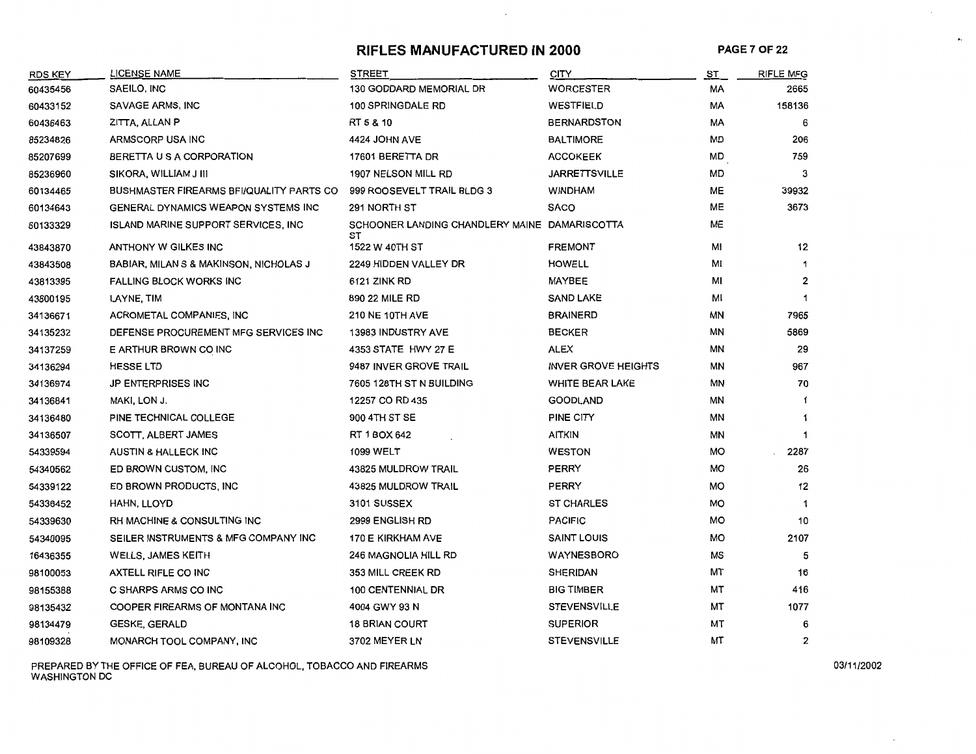# **RIFLES MANUFACTURED IN 2000 PAGE 7 OF 22**

 $\overline{\phantom{a}}$ 

 $\bullet$ 

| <b>RDS KEY</b> | LICENSE NAME                                | STREET                                              | <b>CITY</b>                | ST        | <b>RIFLE MFG</b> |
|----------------|---------------------------------------------|-----------------------------------------------------|----------------------------|-----------|------------------|
| 60435456       | SAEILO, INC                                 | 130 GODDARD MEMORIAL DR                             | WORCESTER                  | МA        | 2665             |
| 60433152       | SAVAGE ARMS, INC                            | <b>100 SPRINGDALE RD</b>                            | <b>WESTFIELD</b>           | МA        | 158136           |
| 60436463       | ZITTA, ALLAN P                              | RT 5 & 10                                           | <b>BERNARDSTON</b>         | МA        | 6                |
| 85234826       | ARMSCORP USA INC                            | 4424 JOHN AVE                                       | <b>BALTIMORE</b>           | MD        | 206              |
| 85207699       | BERETTA U S A CORPORATION                   | 17601 BERETTA DR                                    | <b>ACCOKEEK</b>            | MD        | 759              |
| 85236960       | SIKORA, WILLIAM J III                       | 1907 NELSON MILL RD                                 | <b>JARRETTSVILLE</b>       | MD        | 3                |
| 60134465       | BUSHMASTER FIREARMS BFI/QUALITY PARTS CO    | 999 ROOSEVELT TRAIL BLDG 3                          | <b>WINDHAM</b>             | МE        | 39932            |
| 60134643       | GENERAL DYNAMICS WEAPON SYSTEMS INC         | 291 NORTH ST                                        | <b>SACO</b>                | ME        | 3673             |
| 60133329       | <b>ISLAND MARINE SUPPORT SERVICES, INC.</b> | SCHOONER LANDING CHANDLERY MAINE DAMARISCOTTA<br>sт |                            | ME        |                  |
| 43843870       | ANTHONY W GILKES INC                        | 1522 W 40TH ST                                      | <b>FREMONT</b>             | МI        | 12               |
| 43843508       | BABIAR, MILAN S & MAKINSON, NICHOLAS J      | 2249 HIDDEN VALLEY DR                               | <b>HOWELL</b>              | ΜΙ        |                  |
| 43813395       | <b>FALLING BLOCK WORKS INC</b>              | 6121 ZINK RD                                        | MAYBEE                     | мі        | 2                |
| 43800195       | LAYNE, TIM                                  | 890 22 MILE RD                                      | <b>SAND LAKE</b>           | м١        | 1                |
| 34136671       | ACROMETAL COMPANIES, INC                    | <b>210 NE 10TH AVE</b>                              | <b>BRAINERD</b>            | ΜN        | 7965             |
| 34135232       | DEFENSE PROCUREMENT MFG SERVICES INC        | <b>13983 INDUSTRY AVE</b>                           | <b>BECKER</b>              | ΜN        | 5869             |
| 34137259       | E ARTHUR BROWN CO INC                       | 4353 STATE HWY 27 E                                 | <b>ALEX</b>                | ΜN        | 29               |
| 34136294       | <b>HESSELTD</b>                             | 9487 INVER GROVE TRAIL                              | <b>INVER GROVE HEIGHTS</b> | ΜN        | 967              |
| 34136974       | <b>JP ENTERPRISES INC</b>                   | 7605 128TH ST N BUILDING                            | <b>WHITE BEAR LAKE</b>     | ΜN        | 70               |
| 34136841       | MAKI, LON J.                                | 12257 CO RD 435                                     | <b>GOODLAND</b>            | ΜN        | 1                |
| 34136480       | PINE TECHNICAL COLLEGE                      | 900 4TH ST SE                                       | PINE CITY                  | ΜN        | 1                |
| 34136507       | SCOTT, ALBERT JAMES                         | RT 1 BOX 642                                        | <b>AITKIN</b>              | MN        | -1               |
| 54339594       | AUSTIN & HALLECK INC                        | 1099 WELT                                           | <b>WESTON</b>              | MO        | 2287             |
| 54340562       | ED BROWN CUSTOM, INC.                       | 43825 MULDROW TRAIL                                 | PERRY                      | MO        | 26               |
| 54339122       | ED BROWN PRODUCTS, INC.                     | 43825 MULDROW TRAIL                                 | PERRY                      | <b>MO</b> | 12               |
| 54336452       | HAHN, LLOYD                                 | 3101 SUSSEX                                         | <b>ST CHARLES</b>          | MO        | -1               |
| 54339630       | RH MACHINE & CONSULTING INC                 | 2999 ENGLISH RD                                     | <b>PACIFIC</b>             | MО        | 10               |
| 54340095       | SEILER INSTRUMENTS & MFG COMPANY INC        | 170 E KIRKHAM AVE                                   | <b>SAINT LOUIS</b>         | MO        | 2107             |
| 16436355       | <b>WELLS, JAMES KEITH</b>                   | 246 MAGNOLIA HILL RD                                | <b>WAYNESBORO</b>          | МS        | 5                |
| 98100053       | <b>AXTELL RIFLE CO INC</b>                  | 353 MILL CREEK RD                                   | <b>SHERIDAN</b>            | МΤ        | 16               |
| 98155388       | C SHARPS ARMS CO INC                        | <b>100 CENTENNIAL DR</b>                            | <b>BIG TIMBER</b>          | MT        | 416              |
| 98135432       | COOPER FIREARMS OF MONTANA INC              | 4004 GWY 93 N                                       | <b>STEVENSVILLE</b>        | МT        | 1077             |
| 98134479       | <b>GESKE, GERALD</b>                        | <b>18 BRIAN COURT</b>                               | <b>SUPERIOR</b>            | МT        | 6                |
| 98109328       | MONARCH TOOL COMPANY, INC                   | 3702 MEYER LN                                       | <b>STEVENSVILLE</b>        | МТ        | $\overline{2}$   |

PREPARED BY THE OFFICE OF FEA, BUREAU OF ALCOHOL, TOBACCO AND FIREARMS ON A CONSTRUCTION ON A CONSTRUCTION ON A CONSTRUCTION ON A CONSTRUCTION ON A CONSTRUCTION ON A CONSTRUCTION ON A CONSTRUCTION ON A CONSTRUCTION ON A CO WASHINGTON DC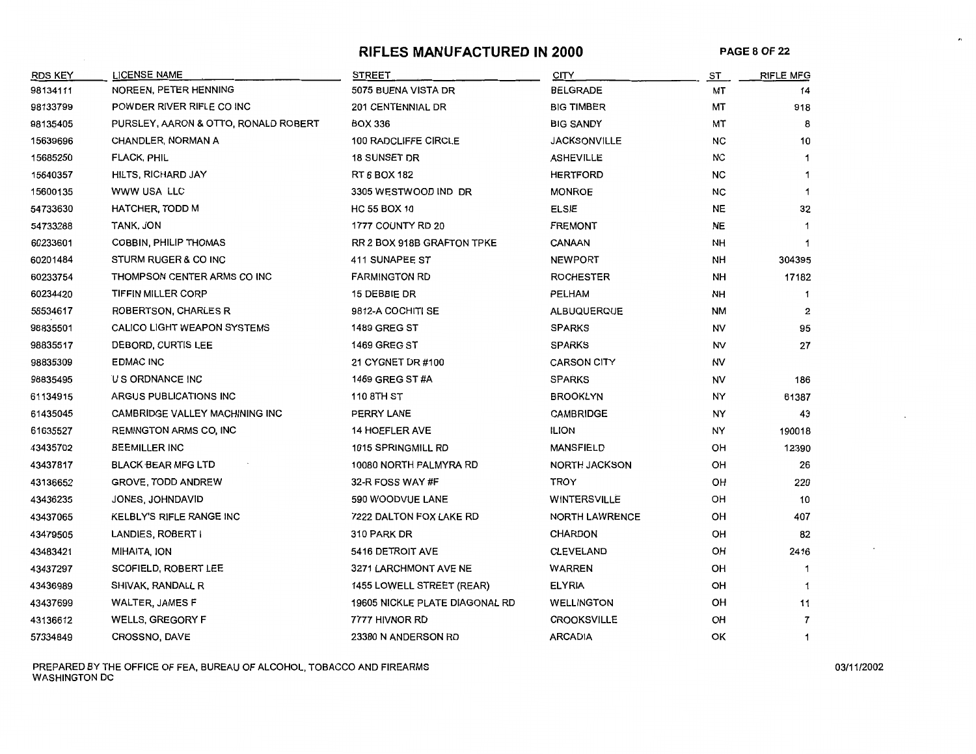# **RIFLES MANUFACTURED IN 2000 PAGE 8 OF** 22

 $\ddot{\phantom{0}}$ 

| <b>RDS KEY</b> | <b>LICENSE NAME</b>                  | STREET                         | <b>CITY</b>           | ST        | <b>RIFLE MFG</b> |
|----------------|--------------------------------------|--------------------------------|-----------------------|-----------|------------------|
| 98134111       | NOREEN, PETER HENNING                | 5075 BUENA VISTA DR            | <b>BELGRADE</b>       | MT        | 14               |
| 98133799       | POWDER RIVER RIFLE CO INC            | 201 CENTENNIAL DR              | <b>BIG TIMBER</b>     | МT        | 918              |
| 98135405       | PURSLEY, AARON & OTTO, RONALD ROBERT | <b>BOX 336</b>                 | <b>BIG SANDY</b>      | МТ        | 8                |
| 15639696       | <b>CHANDLER, NORMAN A</b>            | 100 RADCLIFFE CIRCLE           | <b>JACKSONVILLE</b>   | NС        | 10               |
| 15685250       | <b>FLACK, PHIL</b>                   | <b>18 SUNSET DR</b>            | <b>ASHEVILLE</b>      | <b>NC</b> | 1                |
| 15640357       | HILTS, RICHARD JAY                   | RT 6 BOX 182                   | <b>HERTFORD</b>       | <b>NC</b> | $\mathbf 1$      |
| 15600135       | WWW USA LLC                          | 3305 WESTWOOD IND DR           | <b>MONROE</b>         | NC        | $\mathbf 1$      |
| 54733630       | <b>HATCHER, TODD M</b>               | <b>HC 55 BOX 10</b>            | <b>ELSIE</b>          | <b>NE</b> | 32               |
| 54733288       | TANK, JON                            | 1777 COUNTY RD 20              | <b>FREMONT</b>        | <b>NE</b> | -1               |
| 60233601       | <b>COBBIN, PHILIP THOMAS</b>         | RR 2 BOX 918B GRAFTON TPKE     | CANAAN                | <b>NH</b> | $\mathbf 1$      |
| 60201484       | STURM RUGER & CO INC                 | 411 SUNAPEE ST                 | <b>NEWPORT</b>        | <b>NH</b> | 304395           |
| 60233754       | THOMPSON CENTER ARMS CO INC          | <b>FARMINGTON RD</b>           | <b>ROCHESTER</b>      | NН        | 17182            |
| 60234420       | TIFFIN MILLER CORP                   | 15 DEBBIE DR                   | PELHAM                | NH        | 1                |
| 58534617       | <b>ROBERTSON, CHARLES R</b>          | 9812-A COCHITI SE              | <b>ALBUQUERQUE</b>    | <b>NM</b> | 2                |
| 98835501       | <b>CALICO LIGHT WEAPON SYSTEMS</b>   | <b>1489 GREG ST</b>            | <b>SPARKS</b>         | NV        | 95               |
| 98835517       | DEBORD, CURTIS LEE                   | <b>1469 GREG ST</b>            | <b>SPARKS</b>         | NV        | 27               |
| 98835309       | <b>EDMAC INC</b>                     | 21 CYGNET DR #100              | <b>CARSON CITY</b>    | NV        |                  |
| 98835495       | U S ORDNANCE INC                     | 1469 GREG ST #A                | <b>SPARKS</b>         | NV        | 186              |
| 61134915       | ARGUS PUBLICATIONS INC               | 110 8TH ST                     | <b>BROOKLYN</b>       | NY        | 61387            |
| 61435045       | CAMBRIDGE VALLEY MACHINING INC       | PERRY LANE                     | <b>CAMBRIDGE</b>      | NY        | 43               |
| 61635527       | <b>REMINGTON ARMS CO, INC</b>        | <b>14 HOEFLER AVE</b>          | <b>ILION</b>          | NY        | 190018           |
| 43435702       | <b>BEEMILLER INC</b>                 | 1015 SPRINGMILL RD             | <b>MANSFIELD</b>      | OН        | 12390            |
| 43437817       | <b>BLACK BEAR MFG LTD</b>            | 10080 NORTH PALMYRA RD         | <b>NORTH JACKSON</b>  | OН        | 26               |
| 43136652       | <b>GROVE, TODD ANDREW</b>            | 32-R FOSS WAY #F               | TROY                  | OH        | 220              |
| 43436235       | JONES JOHNDAVID                      | 590 WOODVUE LANE               | WINTERSVILLE          | <b>OH</b> | 10               |
| 43437065       | KELBLY'S RIFLE RANGE INC             | 7222 DALTON FOX LAKE RD        | <b>NORTH LAWRENCE</b> | OH        | 407              |
| 43479505       | LANDIES, ROBERT I                    | 310 PARK DR                    | <b>CHARDON</b>        | OH        | 82               |
| 43483421       | MIHAITA, ION                         | 5416 DETROIT AVE               | <b>CLEVELAND</b>      | OН        | 2416             |
| 43437297       | SCOFIELD, ROBERT LEE                 | 3271 LARCHMONT AVE NE          | WARREN                | OH        | $\mathbf 1$      |
| 43436989       | SHIVAK, RANDALL R                    | 1455 LOWELL STREET (REAR)      | <b>ELYRIA</b>         | OH        | 1                |
| 43437699       | <b>WALTER, JAMES F</b>               | 19605 NICKLE PLATE DIAGONAL RD | <b>WELLINGTON</b>     | OH        | 11               |
| 43136612       | <b>WELLS, GREGORY F</b>              | 7777 HIVNOR RD                 | <b>CROOKSVILLE</b>    | OН        | $\overline{7}$   |
| 57334849       | CROSSNO, DAVE                        | 23380 N ANDERSON RD            | <b>ARCADIA</b>        | ΟК        | 1                |

PREPARED BY THE OFFICE OF FEA, BUREAU OF ALCOHOL, TOBACCO AND FIREARMS 0311112002 WASHINGTON DC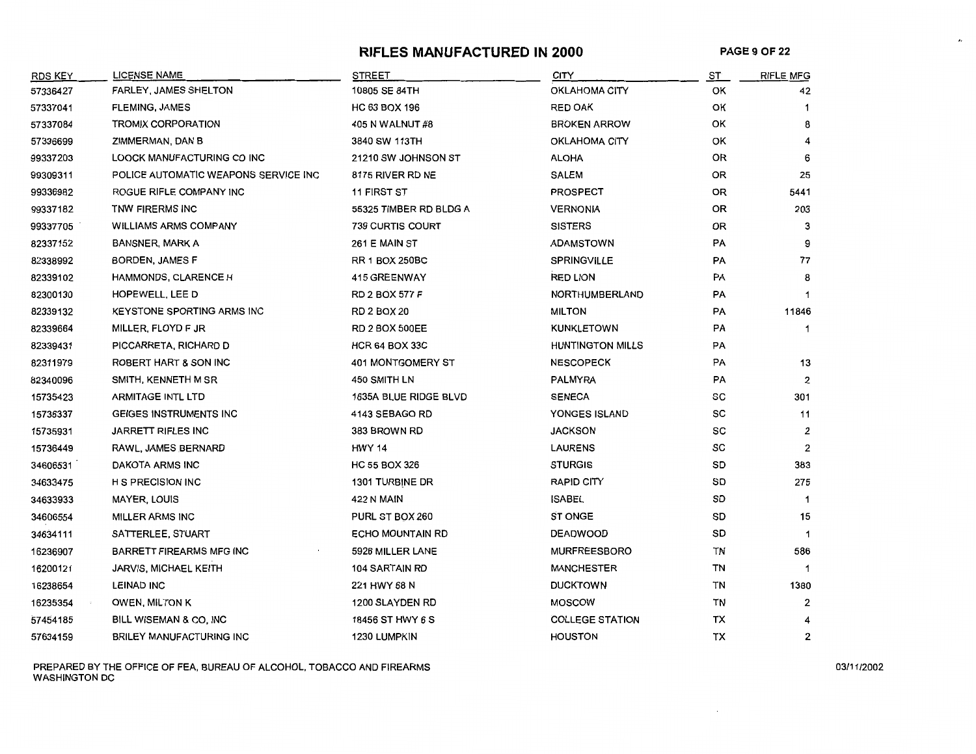### **RIFLES MANUFACTURED IN 2000 PAGE9 OF22**

 $\boldsymbol{\theta}$ 

| <b>RDS KEY</b> | <b>LICENSE NAME</b>                  | <b>STREET</b>            | <b>CITY</b>             | ST | <b>RIFLE MFG</b> |
|----------------|--------------------------------------|--------------------------|-------------------------|----|------------------|
| 57336427       | <b>FARLEY, JAMES SHELTON</b>         | 10805 SE 84TH            | OKLAHOMA CITY           | OK | 42               |
| 57337041       | <b>FLEMING, JAMES</b>                | HC 63 BOX 196            | <b>RED OAK</b>          | ОΚ |                  |
| 57337084       | TROMIX CORPORATION                   | 405 N WALNUT #8          | <b>BROKEN ARROW</b>     | ОΚ | 8                |
| 57336699       | ZIMMERMAN, DAN B                     | 3840 SW 113TH            | OKLAHOMA CITY           | ОΚ |                  |
| 99337203       | LOOCK MANUFACTURING CO INC           | 21210 SW JOHNSON ST      | <b>ALOHA</b>            | 0R | 6                |
| 99309311       | POLICE AUTOMATIC WEAPONS SERVICE INC | 8175 RIVER RD NE         | <b>SALEM</b>            | OR | 25               |
| 99336982       | ROGUE RIFLE COMPANY INC              | <b>11 FIRST ST</b>       | <b>PROSPECT</b>         | 0R | 5441             |
| 99337182       | TNW FIRERMS INC                      | 55325 TIMBER RD BLDG A   | <b>VERNONIA</b>         | 0R | 203              |
| 99337705       | <b>WILLIAMS ARMS COMPANY</b>         | 739 CURTIS COURT         | <b>SISTERS</b>          | 0R | 3                |
| 82337152       | <b>BANSNER, MARK A</b>               | 261 E MAIN ST            | <b>ADAMSTOWN</b>        | PA |                  |
| 82338992       | BORDEN, JAMES F                      | <b>RR 1 BOX 250BC</b>    | <b>SPRINGVILLE</b>      | PA | 77               |
| 82339102       | <b>HAMMONDS, CLARENCE H</b>          | 415 GREENWAY             | <b>RED LION</b>         | PA | 8                |
| 82300130       | HOPEWELL, LEE D                      | <b>RD 2 BOX 577 F</b>    | NORTHUMBERLAND          | PA |                  |
| 82339132       | <b>KEYSTONE SPORTING ARMS INC</b>    | <b>RD 2 BOX 20</b>       | <b>MILTON</b>           | PA | 11846            |
| 82339664       | MILLER, FLOYD F JR                   | <b>RD 2 BOX 500EE</b>    | <b>KUNKLETOWN</b>       | PA | 1                |
| 82339431       | PICCARRETA, RICHARD D                | <b>HCR 64 BOX 33C</b>    | <b>HUNTINGTON MILLS</b> | PA |                  |
| 82311979       | ROBERT HART & SON INC                | <b>401 MONTGOMERY ST</b> | <b>NESCOPECK</b>        | PA | 13               |
| 82340096       | SMITH, KENNETH M SR                  | 450 SMITH LN             | <b>PALMYRA</b>          | PA | $\overline{2}$   |
| 15735423       | <b>ARMITAGE INTL LTD</b>             | 1635A BLUE RIDGE BLVD    | <b>SENECA</b>           | sc | 301              |
| 15736337       | GEIGES INSTRUMENTS INC               | 4143 SEBAGO RD           | YONGES ISLAND           | SC | 11               |
| 15735931       | JARRETT RIFLES INC                   | 383 BROWN RD             | <b>JACKSON</b>          | SC | 2                |
| 15736449       | RAWL, JAMES BERNARD                  | <b>HWY 14</b>            | <b>LAURENS</b>          | SC | 2                |
| 34606531       | DAKOTA ARMS INC                      | <b>HC 55 BOX 326</b>     | <b>STURGIS</b>          | SD | 383              |
| 34633475       | <b>H S PRECISION INC</b>             | 1301 TURBINE DR          | <b>RAPID CITY</b>       | SD | 275              |
| 34633933       | <b>MAYER, LOUIS</b>                  | <b>422 N MAIN</b>        | <b>ISABEL</b>           | SD | $\overline{1}$   |
| 34606554       | <b>MILLER ARMS INC</b>               | PURL ST BOX 260          | <b>ST ONGE</b>          | SD | 15               |
| 34634111       | SATTERLEE, STUART                    | <b>ECHO MOUNTAIN RD</b>  | <b>DEADWOOD</b>         | SD | $\overline{1}$   |
| 16236907       | <b>BARRETT FIREARMS MFG INC</b>      | 5926 MILLER LANE         | <b>MURFREESBORO</b>     | TN | 586              |
| 16200121       | <b>JARVIS, MICHAEL KEITH</b>         | 104 SARTAIN RD           | <b>MANCHESTER</b>       | TN | $\mathbf 1$      |
| 16238654       | <b>LEINAD INC</b>                    | 221 HWY 68 N             | <b>DUCKTOWN</b>         | TN | 1380             |
| 16235354       | <b>OWEN, MILTON K</b>                | 1200 SLAYDEN RD          | <b>MOSCOW</b>           | TN | 2                |
| 57454185       | BILL WISEMAN & CO, INC               | 18456 ST HWY 6 S         | <b>COLLEGE STATION</b>  | ТX |                  |
| 57634159       | <b>BRILEY MANUFACTURING INC</b>      | 1230 LUMPKIN             | <b>HOUSTON</b>          | TX | $\overline{2}$   |

PREPARED BY THE OFFICE OF FEA, BUREAU OF ALCOHOL, TOBACCO AND FIREARMS 03/11/2002 WASHINGTON DC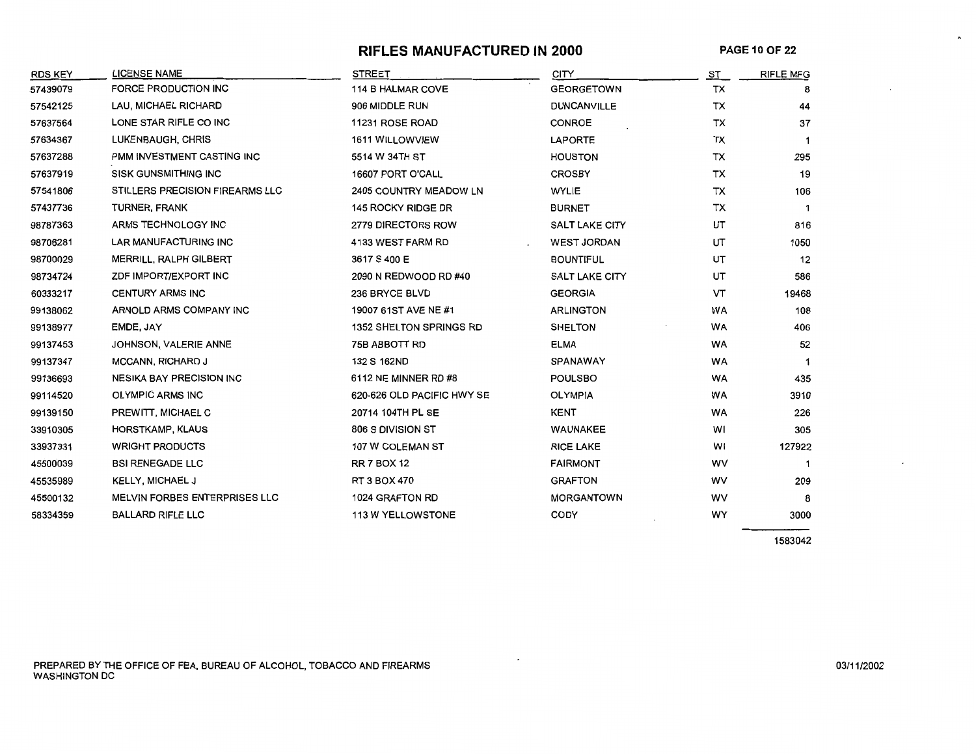# **RIFLES MANUFACTURED IN 2000**

 $\mathbf{z}_i$ 

| <b>RDS KEY</b> | <b>LICENSE NAME</b>             | <b>STREET</b>              | <b>CITY</b>           | ST        | <b>RIFLE MFG</b> |
|----------------|---------------------------------|----------------------------|-----------------------|-----------|------------------|
| 57439079       | FORCE PRODUCTION INC            | 114 B HALMAR COVE          | <b>GEORGETOWN</b>     | TX        | 8                |
| 57542125       | LAU, MICHAEL RICHARD            | 906 MIDDLE RUN             | <b>DUNCANVILLE</b>    | TX        | 44               |
| 57637564       | LONE STAR RIFLE CO INC          | 11231 ROSE ROAD            | <b>CONROE</b>         | TX        | 37               |
| 57634367       | LUKENBAUGH, CHRIS               | 1611 WILLOWVIEW            | <b>LAPORTE</b>        | TX        | $\mathbf 1$      |
| 57637288       | PMM INVESTMENT CASTING INC      | 5514 W 34TH ST             | <b>HOUSTON</b>        | ТX        | 295              |
| 57637919       | <b>SISK GUNSMITHING INC</b>     | 16607 PORT O'CALL          | <b>CROSBY</b>         | тx        | 19               |
| 57541806       | STILLERS PRECISION FIREARMS LLC | 2405 COUNTRY MEADOW LN     | <b>WYLIE</b>          | TX        | 106              |
| 57437736       | TURNER, FRANK                   | 145 ROCKY RIDGE DR         | <b>BURNET</b>         | ТX        |                  |
| 98787363       | ARMS TECHNOLOGY INC             | 2779 DIRECTORS ROW         | <b>SALT LAKE CITY</b> | UT        | 816              |
| 98706281       | <b>LAR MANUFACTURING INC</b>    | 4133 WEST FARM RD          | <b>WEST JORDAN</b>    | UT        | 1050             |
| 98700029       | MERRILL, RALPH GILBERT          | 3617 S 400 E               | <b>BOUNTIFUL</b>      | UT        | 12               |
| 98734724       | ZDF IMPORT/EXPORT INC           | 2090 N REDWOOD RD #40      | <b>SALT LAKE CITY</b> | UT        | 586              |
| 60333217       | <b>CENTURY ARMS INC</b>         | 236 BRYCE BLVD             | <b>GEORGIA</b>        | VT        | 19468            |
| 99138062       | ARNOLD ARMS COMPANY INC         | 19007 61ST AVE NE #1       | <b>ARLINGTON</b>      | WA        | 108              |
| 99138977       | EMDE, JAY                       | 1352 SHELTON SPRINGS RD    | <b>SHELTON</b>        | WA        | 406              |
| 99137453       | JOHNSON, VALERIE ANNE           | 75B ABBOTT RD              | <b>ELMA</b>           | <b>WA</b> | 52               |
| 99137347       | <b>MCCANN, RICHARD J</b>        | 132 S 162ND                | SPANAWAY              | <b>WA</b> | -1               |
| 99136693       | <b>NESIKA BAY PRECISION INC</b> | 6112 NE MINNER RD #8       | <b>POULSBO</b>        | WA        | 435              |
| 99114520       | OLYMPIC ARMS INC                | 620-626 OLD PACIFIC HWY SE | <b>OLYMPIA</b>        | WA        | 3910             |
| 99139150       | PREWITT, MICHAEL C              | 20714 104TH PL SE          | KENT                  | WA        | 226              |
| 33910305       | HORSTKAMP, KLAUS                | 806 S DIVISION ST          | WAUNAKEE              | wı        | 305              |
| 33937331       | <b>WRIGHT PRODUCTS</b>          | 107 W COLEMAN ST           | <b>RICE LAKE</b>      | WI        | 127922           |
| 45500039       | <b>BSI RENEGADE LLC</b>         | <b>RR 7 BOX 12</b>         | <b>FAIRMONT</b>       | wv        |                  |
| 45535989       | <b>KELLY, MICHAEL J</b>         | RT 3 BOX 470               | <b>GRAFTON</b>        | wv        | 209              |
| 45500132       | MELVIN FORBES ENTERPRISES LLC   | 1024 GRAFTON RD            | <b>MORGANTOWN</b>     | WV        | 8                |
| 58334359       | <b>BALLARD RIFLE LLC</b>        | <b>113 W YELLOWSTONE</b>   | CODY                  | WY        | 3000             |
|                |                                 |                            |                       |           |                  |

 $\overline{a}$ 

1583042

PREPARED BY THE OFFICE OF FEA, BUREAU OF ALCOHOL, TOBACCO AND FIREARMS WASHINGTON DC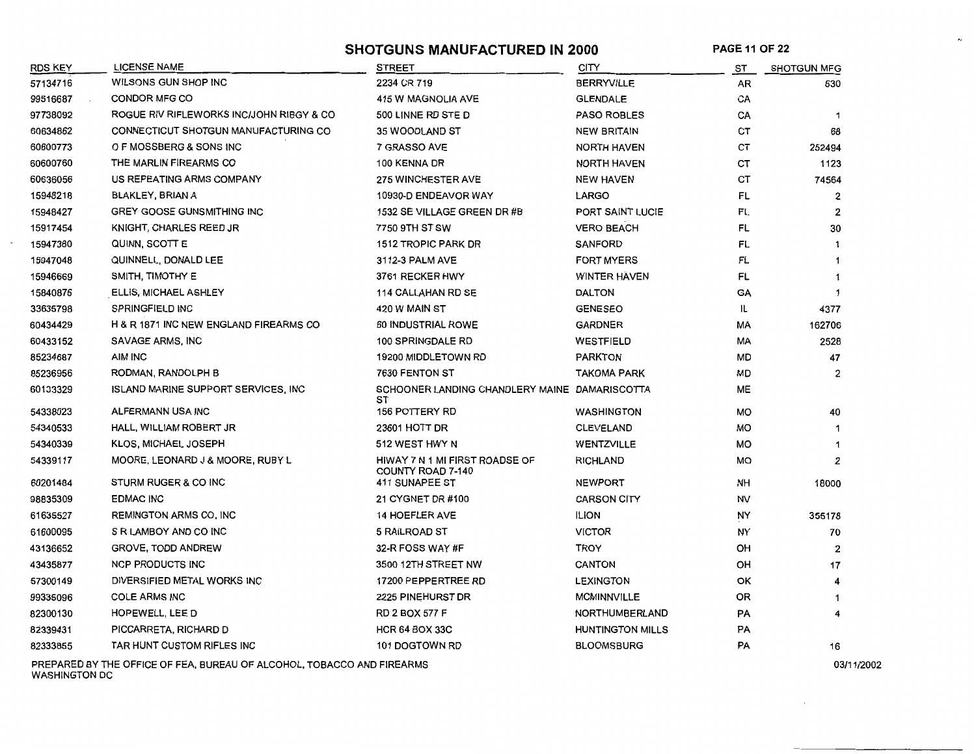SHOTGUNS MANUFACTURED IN 2000 PAGE 11 OF 22

 $\overline{\phantom{a}}$ 

| <b>RDS KEY</b> | <b>LICENSE NAME</b>                         | <b>STREET</b>                                       | <b>CITY</b>             | ST        | <b>SHOTGUN MFG</b> |
|----------------|---------------------------------------------|-----------------------------------------------------|-------------------------|-----------|--------------------|
| 57134716       | WILSONS GUN SHOP INC                        | 2234 CR 719                                         | <b>BERRYVILLE</b>       | AR        | 630                |
| 99516687       | CONDOR MFG CO                               | 415 W MAGNOLIA AVE                                  | <b>GLENDALE</b>         | CA        |                    |
| 97738092       | ROGUE RIV RIFLEWORKS INC/JOHN RIBGY & CO    | 500 LINNE RD STE D                                  | <b>PASO ROBLES</b>      | CA        | $\mathbf 1$        |
| 60634862       | CONNECTICUT SHOTGUN MANUFACTURING CO        | 35 WOODLAND ST                                      | <b>NEW BRITAIN</b>      | СT        | 68                 |
| 60600773       | O F MOSSBERG & SONS INC                     | 7 GRASSO AVE                                        | NORTH HAVEN             | CТ        | 252494             |
| 60600760       | THE MARLIN FIREARMS CO                      | 100 KENNA DR                                        | <b>NORTH HAVEN</b>      | СT        | 1123               |
| 60636056       | US REPEATING ARMS COMPANY                   | <b>275 WINCHESTER AVE</b>                           | <b>NEW HAVEN</b>        | СT        | 74564              |
| 15948218       | <b>BLAKLEY, BRIAN A</b>                     | 10930-D ENDEAVOR WAY                                | <b>LARGO</b>            | FL.       | $\overline{2}$     |
| 15948427       | <b>GREY GOOSE GUNSMITHING INC</b>           | 1532 SE VILLAGE GREEN DR #B                         | PORT SAINT LUCIE        | <b>FL</b> | 2                  |
| 15917454       | KNIGHT, CHARLES REED JR                     | 7750 9TH ST SW                                      | <b>VERO BEACH</b>       | FL        | 30                 |
| 15947380       | QUINN, SCOTT E                              | <b>1512 TROPIC PARK DR</b>                          | <b>SANFORD</b>          | FL        | -1                 |
| 15947048       | QUINNELL, DONALD LEE                        | 3112-3 PALM AVE                                     | <b>FORT MYERS</b>       | FL        | -1                 |
| 15946669       | SMITH, TIMOTHY E                            | 3761 RECKER HWY                                     | <b>WINTER HAVEN</b>     | FL        |                    |
| 15840876       | ELLIS, MICHAEL ASHLEY                       | 114 CALLAHAN RD SE                                  | <b>DALTON</b>           | GA        | $\mathbf 1$        |
| 33635798       | <b>SPRINGFIELD INC</b>                      | 420 W MAIN ST                                       | <b>GENESEO</b>          | IL        | 4377               |
| 60434429       | H & R 1871 INC NEW ENGLAND FIREARMS CO      | 60 INDUSTRIAL ROWE                                  | <b>GARDNER</b>          | МA        | 162706             |
| 60433152       | <b>SAVAGE ARMS, INC</b>                     | 100 SPRINGDALE RD                                   | <b>WESTFIELD</b>        | MА        | 2528               |
| 85234687       | AIM INC                                     | 19200 MIDDLETOWN RD                                 | <b>PARKTON</b>          | MD.       | 47                 |
| 85236956       | RODMAN, RANDOLPH B                          | 7630 FENTON ST                                      | <b>TAKOMA PARK</b>      | MD        | 2                  |
| 60133329       | <b>ISLAND MARINE SUPPORT SERVICES, INC.</b> | SCHOONER LANDING CHANDLERY MAINE DAMARISCOTTA<br>SТ |                         | <b>ME</b> |                    |
| 54338023       | ALFERMANN USA INC                           | 156 POTTERY RD                                      | <b>WASHINGTON</b>       | <b>MO</b> | 40                 |
| 54340533       | HALL, WILLIAM ROBERT JR                     | 23601 HOTT DR                                       | <b>CLEVELAND</b>        | MO        | -1                 |
| 54340339       | KLOS, MICHAEL JOSEPH                        | 512 WEST HWY N                                      | <b>WENTZVILLE</b>       | MO        |                    |
| 54339117       | MOORE, LEONARD J & MOORE, RUBY L            | HIWAY 7 N 1 MI FIRST ROADSE OF<br>COUNTY ROAD 7-140 | <b>RICHLAND</b>         | MO        | 2                  |
| 60201484       | STURM RUGER & CO INC                        | 411 SUNAPEE ST                                      | <b>NEWPORT</b>          | NH        | 18000              |
| 98835309       | <b>EDMAC INC</b>                            | 21 CYGNET DR #100                                   | <b>CARSON CITY</b>      | NV        |                    |
| 61635527       | <b>REMINGTON ARMS CO, INC</b>               | <b>14 HOEFLER AVE</b>                               | <b>ILION</b>            | NY        | 355178             |
| 61600095       | S R LAMBOY AND CO INC                       | 5 RAILROAD ST                                       | <b>VICTOR</b>           | NY.       | 70                 |
| 43136652       | <b>GROVE, TODD ANDREW</b>                   | 32-R FOSS WAY #F                                    | <b>TROY</b>             | OН        | 2                  |
| 43435877       | <b>NCP PRODUCTS INC</b>                     | 3500 12TH STREET NW                                 | <b>CANTON</b>           | OH        | 17                 |
| 57300149       | DIVERSIFIED METAL WORKS INC                 | 17200 PEPPERTREE RD                                 | <b>LEXINGTON</b>        | ОΚ        | 4                  |
| 99335096       | <b>COLE ARMS INC</b>                        | 2225 PINEHURST DR                                   | <b>MCMINNVILLE</b>      | ОR        | 1                  |
| 82300130       | HOPEWELL, LEE D                             | <b>RD 2 BOX 577 F</b>                               | NORTHUMBERLAND          | PA        | 4                  |
| 82339431       | PICCARRETA, RICHARD D                       | <b>HCR 64 BOX 33C</b>                               | <b>HUNTINGTON MILLS</b> | PA        |                    |
| 82333855       | TAR HUNT CUSTOM RIFLES INC                  | 101 DOGTOWN RD                                      | <b>BLOOMSBURG</b>       | PA        | 16                 |

PREPARED BY THE OFFICE OF FEA, BUREAU OF ALCOHOL, TOBACCO AND FIREARMS 03/11/2002 WASHINGTON DC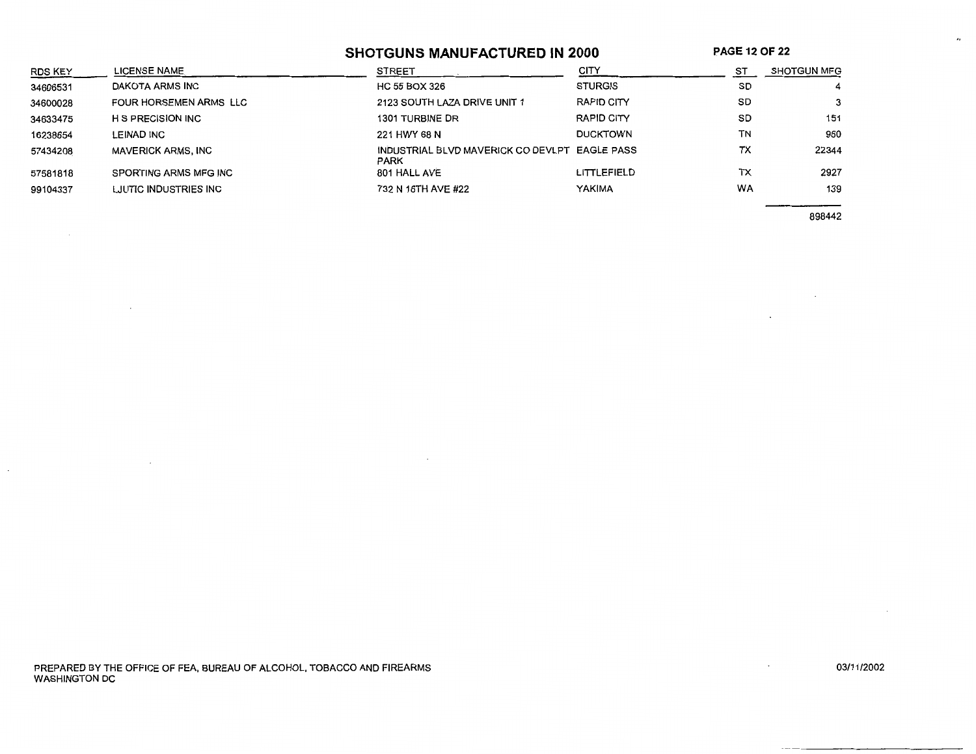# **SHOTGUNS MANUFACTURED IN 2000**

**PAGE 12 OF 22** 

| RDS KEY  | <b>LICENSE NAME</b>       | <b>STREET</b>                                                | CITY            | ST        | <b>SHOTGUN MFG</b> |
|----------|---------------------------|--------------------------------------------------------------|-----------------|-----------|--------------------|
| 34606531 | DAKOTA ARMS INC           | HC 55 BOX 326                                                | <b>STURGIS</b>  | <b>SD</b> | $\overline{4}$     |
| 34600028 | FOUR HORSEMEN ARMS LLC    | 2123 SOUTH LAZA DRIVE UNIT 1                                 | RAPID CITY      | SD        | 3                  |
| 34633475 | <b>H S PRECISION INC</b>  | 1301 TURBINE DR                                              | RAPID CITY      | SD        | 151                |
| 16238654 | LEINAD INC                | 221 HWY 68 N                                                 | <b>DUCKTOWN</b> | <b>TN</b> | 960                |
| 57434208 | <b>MAVERICK ARMS, INC</b> | INDUSTRIAL BLVD MAVERICK CO DEVLPT EAGLE PASS<br><b>PARK</b> |                 | тх        | 22344              |
| 57581818 | SPORTING ARMS MFG INC     | 801 HALL AVE                                                 | LITTLEFIELD     | TX        | 2927               |
| 99104337 | LJUTIC INDUSTRIES INC     | 732 N 16TH AVE #22                                           | <b>YAKIMA</b>   | <b>WA</b> | 139                |

898442

4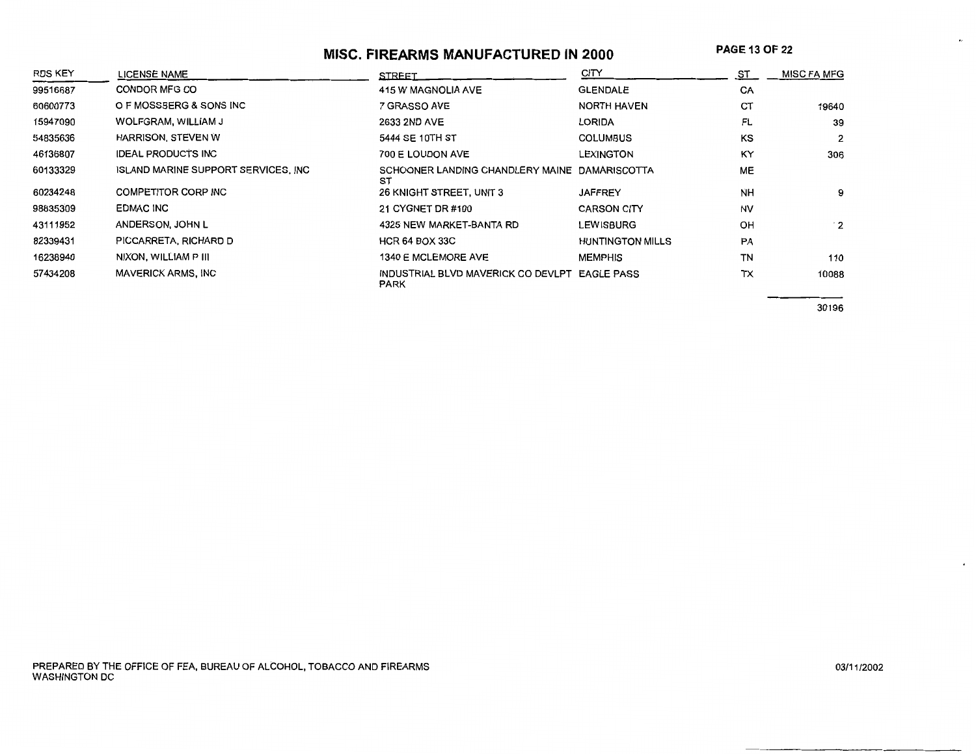# **MISC. FIREARMS MANUFACTURED IN 2000**

**PAGE** 13 OF 22

| <b>RDS KEY</b> | <b>LICENSE NAME</b>                         | <b>STREET</b>                                                | CITY                    | ST        | <b>MISC FA MFG</b> |
|----------------|---------------------------------------------|--------------------------------------------------------------|-------------------------|-----------|--------------------|
| 99516687       | CONDOR MFG CO                               | 415 W MAGNOLIA AVE                                           | <b>GLENDALE</b>         | CA        |                    |
| 60600773       | O F MOSSBERG & SONS INC                     | 7 GRASSO AVE                                                 | NORTH HAVEN             | CT        | 19640              |
| 15947090       | WOLFGRAM, WILLIAM J                         | 2633 2ND AVE                                                 | LORIDA                  | FL        | 39                 |
| 54835636       | HARRISON, STEVEN W                          | 5444 SE 10TH ST                                              | <b>COLUMBUS</b>         | KS        | 2                  |
| 46136807       | <b>IDEAL PRODUCTS INC</b>                   | 700 E LOUDON AVE                                             | LEXINGTON               | <b>KY</b> | 306                |
| 60133329       | <b>ISLAND MARINE SUPPORT SERVICES, INC.</b> | SCHOONER LANDING CHANDLERY MAINE DAMARISCOTTA<br>SŤ          |                         | <b>ME</b> |                    |
| 60234248       | <b>COMPETITOR CORP INC</b>                  | 26 KNIGHT STREET, UNIT 3                                     | <b>JAFFREY</b>          | <b>NH</b> | 9                  |
| 98835309       | EDMAC INC                                   | 21 CYGNET DR #100                                            | <b>CARSON CITY</b>      | <b>NV</b> |                    |
| 43111952       | ANDERSON, JOHN L                            | 4325 NEW MARKET-BANTA RD                                     | LEWISBURG               | OH        | $\cdot$ 2          |
| 82339431       | PICCARRETA, RICHARD D                       | <b>HCR 64 BOX 33C</b>                                        | <b>HUNTINGTON MILLS</b> | PA        |                    |
| 16238940       | NIXON, WILLIAM P III                        | 1340 E MCLEMORE AVE                                          | <b>MEMPHIS</b>          | TN        | 110                |
| 57434208       | <b>MAVERICK ARMS, INC</b>                   | INDUSTRIAL BLVD MAVERICK CO DEVLPT EAGLE PASS<br><b>PARK</b> |                         | TX        | 10088              |

30196

 $\bullet_I$ 

 $\epsilon$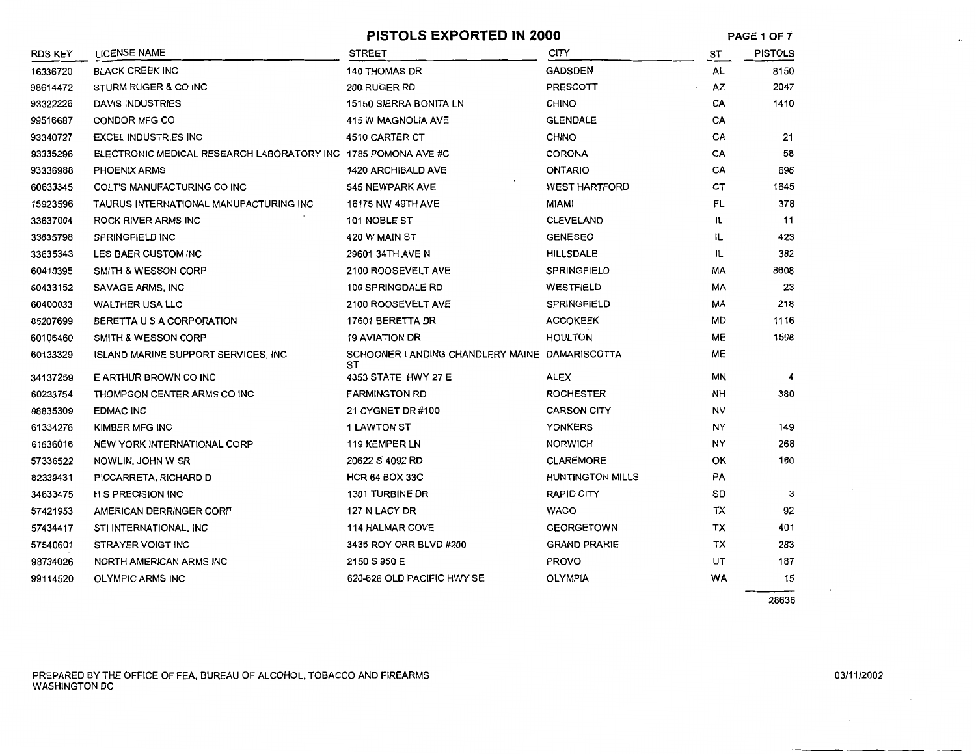#### **PISTOLS EXPORTED IN 2000**

**PAGE 1 OF7** 

 $\mathcal{L}_{\mathcal{A}}$ 

| RDS KEY  | <b>LICENSE NAME</b>                                           | <b>STREET</b>                                       | <b>CITY</b>             | ST        | <b>PISTOLS</b> |
|----------|---------------------------------------------------------------|-----------------------------------------------------|-------------------------|-----------|----------------|
| 16336720 | <b>BLACK CREEK INC</b>                                        | <b>140 THOMAS DR</b>                                | <b>GADSDEN</b>          | AL        | 8150           |
| 98614472 | STURM RUGER & CO INC                                          | 200 RUGER RD                                        | <b>PRESCOTT</b>         | AZ        | 2047           |
| 93322226 | DAVIS INDUSTRIES                                              | <b>15150 SIERRA BONITA LN</b>                       | <b>CHINO</b>            | CA        | 1410           |
| 99516687 | CONDOR MFG CO                                                 | <b>415 W MAGNOLIA AVE</b>                           | <b>GLENDALE</b>         | CA        |                |
| 93340727 | <b>EXCEL INDUSTRIES INC</b>                                   | 4510 CARTER CT                                      | <b>CHINO</b>            | СA        | 21             |
| 93335296 | ELECTRONIC MEDICAL RESEARCH LABORATORY INC 1785 POMONA AVE #C |                                                     | <b>CORONA</b>           | CA        | 58             |
| 93336988 | <b>PHOENIX ARMS</b>                                           | 1420 ARCHIBALD AVE                                  | <b>ONTARIO</b>          | CA        | 696            |
| 60633345 | COLT'S MANUFACTURING CO INC                                   | 545 NEWPARK AVE                                     | <b>WEST HARTFORD</b>    | CT        | 1645           |
| 15923596 | TAURUS INTERNATIONAL MANUFACTURING INC                        | 16175 NW 49TH AVE                                   | <b>MIAMI</b>            | FL        | 378            |
| 33637004 | ROCK RIVER ARMS INC                                           | 101 NOBLE ST                                        | <b>CLEVELAND</b>        | IL        | 11             |
| 33635798 | <b>SPRINGFIELD INC</b>                                        | 420 W MAIN ST                                       | <b>GENESEO</b>          | IL.       | 423            |
| 33635343 | LES BAER CUSTOM INC                                           | 29601 34TH AVE N                                    | <b>HILLSDALE</b>        | IL        | 382            |
| 60410395 | <b>SMITH &amp; WESSON CORP</b>                                | 2100 ROOSEVELT AVE                                  | <b>SPRINGFIELD</b>      | МA        | 8608           |
| 60433152 | SAVAGE ARMS, INC                                              | 100 SPRINGDALE RD                                   | WESTFIELD               | МA        | 23             |
| 60400033 | <b>WALTHER USA LLC</b>                                        | 2100 ROOSEVELT AVE                                  | <b>SPRINGFIELD</b>      | МA        | 218            |
| 85207699 | BERETTA U S A CORPORATION                                     | 17601 BERETTA DR                                    | <b>ACCOKEEK</b>         | MD        | 1116           |
| 60106460 | <b>SMITH &amp; WESSON CORP</b>                                | <b>19 AVIATION DR</b>                               | <b>HOULTON</b>          | ME        | 1508           |
| 60133329 | ISLAND MARINE SUPPORT SERVICES, INC.                          | SCHOONER LANDING CHANDLERY MAINE DAMARISCOTTA<br>sт |                         | ME        |                |
| 34137259 | E ARTHUR BROWN CO INC                                         | 4353 STATE HWY 27 E                                 | ALEX                    | ΜN        | 4              |
| 60233754 | THOMPSON CENTER ARMS CO INC                                   | <b>FARMINGTON RD</b>                                | <b>ROCHESTER</b>        | NH        | 380            |
| 98835309 | <b>EDMAC INC</b>                                              | 21 CYGNET DR #100                                   | <b>CARSON CITY</b>      | <b>NV</b> |                |
| 61334276 | KIMBER MFG INC                                                | <b>1 LAWTON ST</b>                                  | <b>YONKERS</b>          | NY        | 149            |
| 61636016 | <b>NEW YORK INTERNATIONAL CORP</b>                            | <b>119 KEMPER LN</b>                                | <b>NORWICH</b>          | NΥ        | 268            |
| 57336522 | NOWLIN, JOHN W SR                                             | 20622 S 4092 RD                                     | <b>CLAREMORE</b>        | ОΚ        | 160            |
| 82339431 | PICCARRETA, RICHARD D                                         | <b>HCR 64 BOX 33C</b>                               | <b>HUNTINGTON MILLS</b> | PA        |                |
| 34633475 | H S PRECISION INC                                             | 1301 TURBINE DR                                     | <b>RAPID CITY</b>       | SD        | 3              |
| 57421953 | AMERICAN DERRINGER CORP                                       | 127 N LACY DR                                       | <b>WACO</b>             | тх        | 92             |
| 57434417 | STI INTERNATIONAL, INC                                        | <b>114 HALMAR COVE</b>                              | <b>GEORGETOWN</b>       | тх        | 401            |
| 57540601 | STRAYER VOIGT INC                                             | 3435 ROY ORR BLVD #200                              | <b>GRAND PRARIE</b>     | ТX        | 283            |
| 98734026 | NORTH AMERICAN ARMS INC                                       | 2150 S 950 E                                        | <b>PROVO</b>            | UΤ        | 187            |
| 99114520 | <b>OLYMPIC ARMS INC</b>                                       | 620-626 OLD PACIFIC HWY SE                          | <b>OLYMPIA</b>          | WA        | 15             |
|          |                                                               |                                                     |                         |           |                |

28636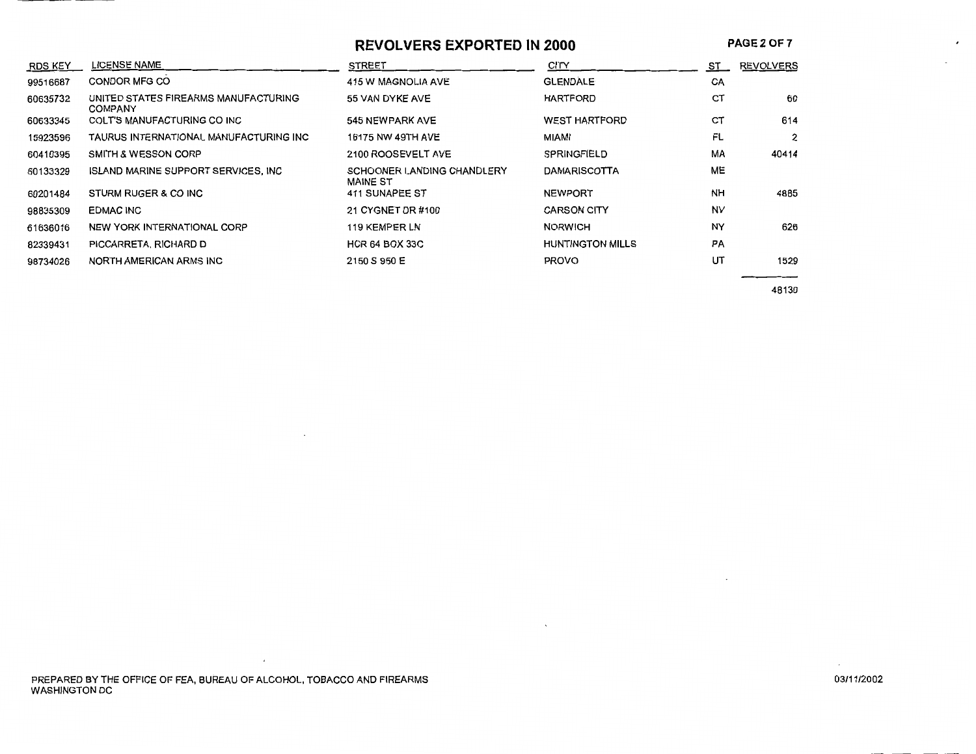# **REVOLVERS EXPORTED IN 2000**

**PAGE20F7** 

 $\cdot$ 

| <b>RDS KEY</b> | LICENSE NAME                                           | <b>STREET</b>                                        | CITY                    | ST.       | <b>REVOLVERS</b> |
|----------------|--------------------------------------------------------|------------------------------------------------------|-------------------------|-----------|------------------|
| 99516687       | CONDOR MFG CO                                          | 415 W MAGNOLIA AVE                                   | <b>GLENDALE</b>         | CA        |                  |
| 60635732       | UNITED STATES FIREARMS MANUFACTURING<br><b>COMPANY</b> | 55 VAN DYKE AVE                                      | <b>HARTFORD</b>         | CT        | 60               |
| 60633345       | COLT'S MANUFACTURING CO INC                            | 545 NEWPARK AVE                                      | <b>WEST HARTFORD</b>    | CT        | 614              |
| 15923596       | TAURUS INTERNATIONAL MANUFACTURING INC                 | 16175 NW 49TH AVE                                    | MIAMI                   | FL        | 2                |
| 60410395       | SMITH & WESSON CORP                                    | 2100 ROOSEVELT AVE                                   | SPRINGFIELD             | MA        | 40414            |
| 60133329       | <b>ISLAND MARINE SUPPORT SERVICES, INC.</b>            | <b>SCHOONER LANDING CHANDLERY</b><br><b>MAINE ST</b> | <b>DAMARISCOTTA</b>     | ME        |                  |
| 60201484       | STURM RUGER & CO INC                                   | 411 SUNAPEE ST                                       | <b>NEWPORT</b>          | <b>NH</b> | 4885             |
| 98835309       | <b>EDMAC INC</b>                                       | 21 CYGNET DR #100                                    | <b>CARSON CITY</b>      | <b>NV</b> |                  |
| 61636016       | NEW YORK INTERNATIONAL CORP                            | 119 KEMPER LN                                        | <b>NORWICH</b>          | NY        | 626              |
| 82339431       | PICCARRETA, RICHARD D                                  | <b>HCR 64 BOX 33C</b>                                | <b>HUNTINGTON MILLS</b> | <b>PA</b> |                  |
| 98734026       | NORTH AMERICAN ARMS INC                                | 2150 S 950 E                                         | <b>PROVO</b>            | UT        | 1529             |
|                |                                                        |                                                      |                         |           | 48130            |

 $\overline{1}$ 

 $\mathcal{L}$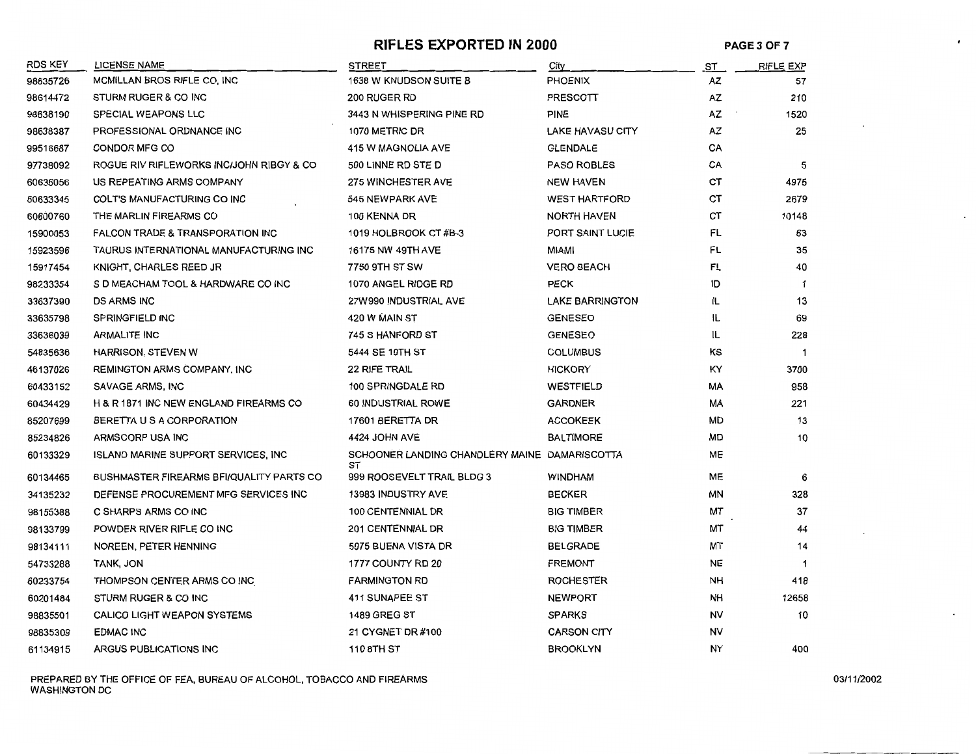# **RIFLES EXPORTED IN 2000** PAGE 3 OF 7

 $\epsilon$ 

 $\ddot{\phantom{a}}$ 

| <b>RDS KEY</b> | <b>LICENSE NAME</b>                         | <b>STREET</b>                                       | City                    | <u>ST</u> | <b>RIFLE EXP</b> |
|----------------|---------------------------------------------|-----------------------------------------------------|-------------------------|-----------|------------------|
| 98635726       | MCMILLAN BROS RIFLE CO, INC                 | 1638 W KNUDSON SUITE B                              | PHOENIX                 | AZ        | 57               |
| 98614472       | STURM RUGER & CO INC                        | 200 RUGER RD                                        | PRESCOTT                | AZ        | 210              |
| 98638190       | SPECIAL WEAPONS LLC                         | 3443 N WHISPERING PINE RD                           | PINE                    | AZ        | 1520             |
| 98638387       | PROFESSIONAL ORDNANCE INC                   | 1070 METRIC DR                                      | <b>LAKE HAVASU CITY</b> | AZ        | 25               |
| 99516687       | CONDOR MFG CO                               | 415 W MAGNOLIA AVE                                  | <b>GLENDALE</b>         | CA        |                  |
| 97738092       | ROGUE RIV RIFLEWORKS INCUOHN RIBGY & CO     | 500 LINNE RD STE D                                  | <b>PASO ROBLES</b>      | CA        | 5                |
| 60636056       | US REPEATING ARMS COMPANY                   | <b>275 WINCHESTER AVE</b>                           | <b>NEW HAVEN</b>        | ст        | 4975             |
| 60633345       | COLT'S MANUFACTURING CO INC                 | 545 NEWPARK AVE                                     | <b>WEST HARTFORD</b>    | CТ        | 2679             |
| 60600760       | THE MARLIN FIREARMS CO                      | 100 KENNA DR                                        | NORTH HAVEN             | СT        | 10148            |
| 15900053       | <b>FALCON TRADE &amp; TRANSPORATION INC</b> | 1019 HOLBROOK CT #B-3                               | PORT SAINT LUCIE        | FL        | 63               |
| 15923596       | TAURUS INTERNATIONAL MANUFACTURING INC      | 16175 NW 49TH AVE                                   | MIAMI                   | FL        | 35               |
| 15917454       | KNIGHT, CHARLES REED JR                     | 7750 9TH ST SW                                      | <b>VERO BEACH</b>       | FL        | 40               |
| 98233354       | S D MEACHAM TOOL & HARDWARE CO INC          | 1070 ANGEL RIDGE RD                                 | <b>PECK</b>             | ID        | $\mathbf 1$      |
| 33637390       | <b>DS ARMS INC</b>                          | 27W990 INDUSTRIAL AVE                               | <b>LAKE BARRINGTON</b>  | IL        | 13               |
| 33635798       | <b>SPRINGFIELD INC</b>                      | 420 W MAIN ST                                       | <b>GENESEO</b>          | IL.       | 69               |
| 33636039       | <b>ARMALITE INC</b>                         | 745 S HANFORD ST                                    | <b>GENESEO</b>          | IL        | 228              |
| 54835636       | HARRISON, STEVEN W                          | 5444 SE 10TH ST                                     | <b>COLUMBUS</b>         | ΚS        | $\overline{1}$   |
| 46137026       | REMINGTON ARMS COMPANY, INC.                | 22 RIFE TRAIL                                       | <b>HICKORY</b>          | КY        | 3700             |
| 60433152       | SAVAGE ARMS, INC                            | 100 SPRINGDALE RD                                   | WESTFIELD               | МA        | 958              |
| 60434429       | H & R 1871 INC NEW ENGLAND FIREARMS CO      | 60 INDUSTRIAL ROWE                                  | <b>GARDNER</b>          | MA        | 221              |
| 85207699       | BERETTA U S A CORPORATION                   | 17601 BERETTA DR                                    | <b>ACCOKEEK</b>         | <b>MD</b> | 13               |
| 85234826       | ARMSCORP USA INC                            | 4424 JOHN AVE                                       | <b>BALTIMORE</b>        | MD        | 10               |
| 60133329       | ISLAND MARINE SUPPORT SERVICES, INC.        | SCHOONER LANDING CHANDLERY MAINE DAMARISCOTTA<br>ST |                         | ME        |                  |
| 60134465       | BUSHMASTER FIREARMS BFI/QUALITY PARTS CO    | 999 ROOSEVELT TRAIL BLDG 3                          | <b>WINDHAM</b>          | ME        | 6                |
| 34135232       | DEFENSE PROCUREMENT MFG SERVICES INC        | <b>13983 INDUSTRY AVE</b>                           | <b>BECKER</b>           | ΜN        | 328              |
| 98155388       | C SHARPS ARMS CO INC                        | <b>100 CENTENNIAL DR</b>                            | <b>BIG TIMBER</b>       | МT        | 37               |
| 98133799       | POWDER RIVER RIFLE CO INC                   | <b>201 CENTENNIAL DR</b>                            | <b>BIG TIMBER</b>       | МT        | 44               |
| 98134111       | NOREEN, PETER HENNING                       | 5075 BUENA VISTA DR                                 | <b>BELGRADE</b>         | МТ        | 14               |
| 54733288       | TANK, JON                                   | 1777 COUNTY RD 20                                   | <b>FREMONT</b>          | <b>NE</b> | -1               |
| 60233754       | THOMPSON CENTER ARMS CO INC                 | <b>FARMINGTON RD</b>                                | <b>ROCHESTER</b>        | NH        | 418              |
| 60201484       | STURM RUGER & CO INC                        | <b>411 SUNAPEE ST</b>                               | <b>NEWPORT</b>          | NН        | 12658            |
| 98835501       | CALICO LIGHT WEAPON SYSTEMS                 | <b>1489 GREG ST</b>                                 | <b>SPARKS</b>           | NV        | 10               |
| 98835309       | <b>EDMAC INC</b>                            | 21 CYGNET DR #100                                   | <b>CARSON CITY</b>      | NV        |                  |
| 61134915       | ARGUS PUBLICATIONS INC                      | 110 8TH ST                                          | <b>BROOKLYN</b>         | NY        | 400              |

PREPARED BY THE OFFICE OF FEA, BUREAU OF ALCOHOL, TOBACCO AND FIREARMS ON A CONSTRUCTION ON A CONSTRUCTION ON A CONTRACT ON A CONSTRUCTION OF ALCOHOL. TOBACCO AND FIREARMS ON A CONSTRUCTION ON A CONSTRUCTION OF A CONSTRUCT WASHINGTON DC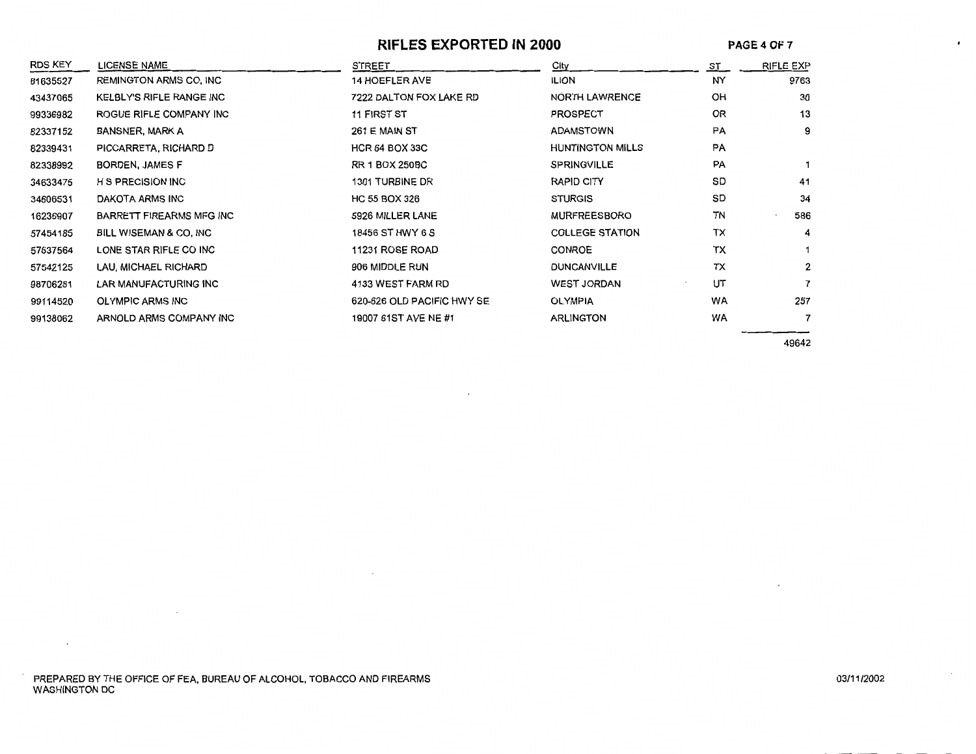#### **RIFLES EXPORTED IN 2000**

**PAGE4 OF** 7

 $\bullet$ 

| <b>RDS KEY</b> | <b>LICENSE NAME</b>             | <b>STREET</b>              | City                    | ST        | <b>RIFLE EXP</b> |
|----------------|---------------------------------|----------------------------|-------------------------|-----------|------------------|
| 61635527       | <b>REMINGTON ARMS CO, INC.</b>  | <b>14 HOEFLER AVE</b>      | <b>ILION</b>            | NY        | 9763             |
| 43437065       | <b>KELBLY'S RIFLE RANGE INC</b> | 7222 DALTON FOX LAKE RD    | <b>NORTH LAWRENCE</b>   | OH        | 30               |
| 99336982       | ROGUE RIFLE COMPANY INC         | 11 FIRST ST                | <b>PROSPECT</b>         | <b>OR</b> | 13               |
| 82337152       | <b>BANSNER, MARK A</b>          | 261 E MAIN ST              | <b>ADAMSTOWN</b>        | PA        | 9                |
| 82339431       | PICCARRETA, RICHARD D           | <b>HCR 64 BOX 33C</b>      | <b>HUNTINGTON MILLS</b> | PA        |                  |
| 82338992       | <b>BORDEN, JAMES F</b>          | <b>RR 1 BOX 250BC</b>      | <b>SPRINGVILLE</b>      | PA        |                  |
| 34633475       | <b>H S PRECISION INC</b>        | 1301 TURBINE DR            | <b>RAPID CITY</b>       | SD        | 41               |
| 34606531       | DAKOTA ARMS INC                 | HC 55 BOX 326              | <b>STURGIS</b>          | SD        | 34               |
| 16236907       | BARRETT FIREARMS MFG INC        | 5926 MILLER LANE           | <b>MURFREESBORO</b>     | TN        | 586              |
| 57454185       | BILL WISEMAN & CO. INC          | 18456 ST HWY 6 S           | <b>COLLEGE STATION</b>  | TX        | 4                |
| 57637564       | LONE STAR RIFLE CO INC          | 11231 ROSE ROAD            | <b>CONROE</b>           | ТX        |                  |
| 57542125       | LAU, MICHAEL RICHARD            | 906 MIDDLE RUN             | <b>DUNCANVILLE</b>      | ТX        | 2                |
| 98706281       | LAR MANUFACTURING INC           | 4133 WEST FARM RD          | <b>WEST JORDAN</b>      | UT        | 7                |
| 99114520       | <b>OLYMPIC ARMS INC</b>         | 620-626 OLD PACIFIC HWY SE | <b>OLYMPIA</b>          | WA        | 257              |
| 99138062       | ARNOLD ARMS COMPANY INC         | 19007 61ST AVE NE #1       | <b>ARLINGTON</b>        | WA        | 7                |

49642

 $\mathcal{L}$ 

 $\sim$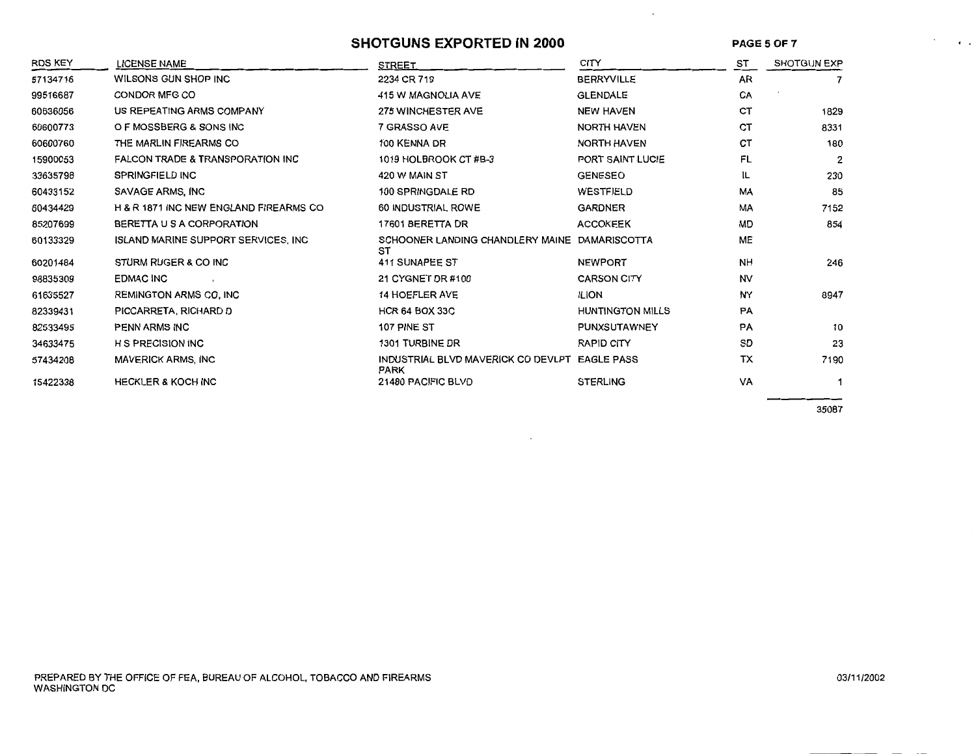#### **SHOTGUNS EXPORTED IN 2000**

**PAGES OF7** 

 $\ddot{\phantom{0}}$ 

 $\tilde{\phantom{a}}$ 

| RDS KEY  | <b>LICENSE NAME</b>                    | <b>STREET</b>                                                | <b>CITY</b>             | ST        | <b>SHOTGUN EXP</b> |
|----------|----------------------------------------|--------------------------------------------------------------|-------------------------|-----------|--------------------|
| 57134716 | WILSONS GUN SHOP INC                   | 2234 CR 719                                                  | <b>BERRYVILLE</b>       | AR        | 7                  |
| 99516687 | CONDOR MFG CO                          | 415 W MAGNOLIA AVE                                           | <b>GLENDALE</b>         | CA        |                    |
| 60636056 | US REPEATING ARMS COMPANY              | <b>275 WINCHESTER AVE</b>                                    | <b>NEW HAVEN</b>        | CТ        | 1829               |
| 60600773 | O F MOSSBERG & SONS INC                | 7 GRASSO AVE                                                 | NORTH HAVEN             | CТ        | 8331               |
| 60600760 | THE MARLIN FIREARMS CO                 | 100 KENNA DR                                                 | <b>NORTH HAVEN</b>      | CT        | 180                |
| 15900053 | FALCON TRADE & TRANSPORATION INC       | 1019 HOLBROOK CT #B-3                                        | PORT SAINT LUCIE        | FL        | 2                  |
| 33635798 | <b>SPRINGFIELD INC</b>                 | 420 W MAIN ST                                                | <b>GENESEO</b>          | IL        | 230                |
| 60433152 | SAVAGE ARMS, INC                       | 100 SPRINGDALE RD                                            | WESTFIELD               | <b>MA</b> | 85                 |
| 60434429 | H & R 1871 INC NEW ENGLAND FIREARMS CO | 60 INDUSTRIAL ROWE                                           | <b>GARDNER</b>          | MA        | 7152               |
| 85207699 | BERETTA U S A CORPORATION              | 17601 BERETTA DR                                             | <b>ACCOKEEK</b>         | <b>MD</b> | 854                |
| 60133329 | ISLAND MARINE SUPPORT SERVICES, INC.   | SCHOONER LANDING CHANDLERY MAINE DAMARISCOTTA<br>ST          |                         | <b>ME</b> |                    |
| 60201484 | STURM RUGER & CO INC                   | 411 SUNAPEE ST                                               | <b>NEWPORT</b>          | <b>NH</b> | 246                |
| 98835309 | <b>EDMAC INC</b>                       | 21 CYGNET DR #100                                            | <b>CARSON CITY</b>      | <b>NV</b> |                    |
| 61635527 | <b>REMINGTON ARMS CO, INC</b>          | <b>14 HOEFLER AVE</b>                                        | <b>ILION</b>            | NY        | 8947               |
| 82339431 | PICCARRETA, RICHARD D                  | <b>HCR 64 BOX 33C</b>                                        | <b>HUNTINGTON MILLS</b> | PA        |                    |
| 82533495 | PENN ARMS INC                          | 107 PINE ST                                                  | PUNXSUTAWNEY            | PA        | 10                 |
| 34633475 | <b>H S PRECISION INC</b>               | 1301 TURBINE DR                                              | <b>RAPID CITY</b>       | SD        | 23                 |
| 57434208 | <b>MAVERICK ARMS, INC</b>              | INDUSTRIAL BLVD MAVERICK CO DEVLPT EAGLE PASS<br><b>PARK</b> |                         | TX        | 7190               |
| 15422338 | <b>HECKLER &amp; KOCH INC</b>          | 21480 PACIFIC BLVD                                           | <b>STERLING</b>         | VA        | 1                  |

35087